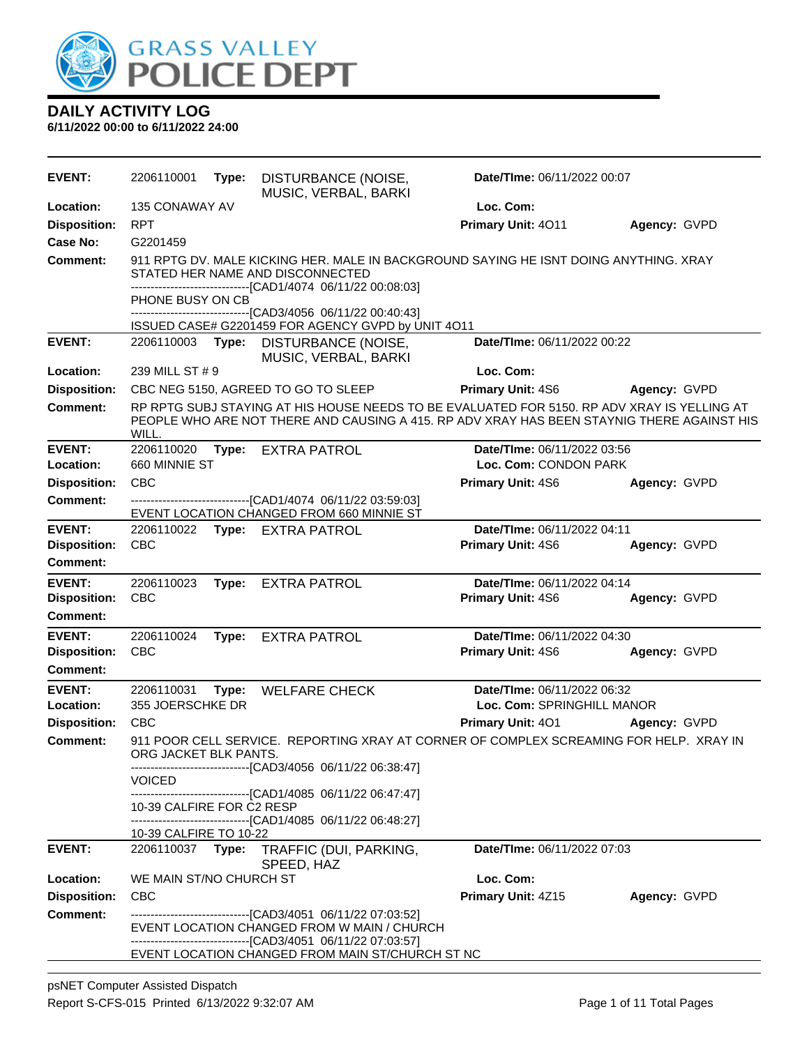

| Location:<br>135 CONAWAY AV<br>Loc. Com:<br><b>RPT</b><br><b>Disposition:</b><br>Primary Unit: 4011<br>Agency: GVPD<br>Case No:<br>G2201459<br>911 RPTG DV. MALE KICKING HER. MALE IN BACKGROUND SAYING HE ISNT DOING ANYTHING. XRAY<br>Comment:<br>STATED HER NAME AND DISCONNECTED<br>-------------------------------[CAD1/4074_06/11/22_00:08:03]<br>PHONE BUSY ON CB<br>----------------------[CAD3/4056 06/11/22 00:40:43]<br>ISSUED CASE# G2201459 FOR AGENCY GVPD by UNIT 4O11<br><b>EVENT:</b><br>Date/TIme: 06/11/2022 00:22<br>2206110003 Type:<br>DISTURBANCE (NOISE,<br>MUSIC, VERBAL, BARKI<br>239 MILL ST # 9<br>Loc. Com:<br>Location:<br><b>Disposition:</b><br>CBC NEG 5150, AGREED TO GO TO SLEEP<br><b>Primary Unit: 4S6</b><br>Agency: GVPD<br>RP RPTG SUBJ STAYING AT HIS HOUSE NEEDS TO BE EVALUATED FOR 5150. RP ADV XRAY IS YELLING AT<br><b>Comment:</b><br>PEOPLE WHO ARE NOT THERE AND CAUSING A 415. RP ADV XRAY HAS BEEN STAYNIG THERE AGAINST HIS<br>WILL.<br><b>EVENT:</b><br>2206110020<br>Date/TIme: 06/11/2022 03:56<br>Type:<br><b>EXTRA PATROL</b><br>660 MINNIE ST<br>Loc. Com: CONDON PARK<br>Location:<br>CBC<br><b>Disposition:</b><br>Primary Unit: 4S6<br>Agency: GVPD<br><b>Comment:</b><br>---------------------------------[CAD1/4074 06/11/22 03:59:03]<br>EVENT LOCATION CHANGED FROM 660 MINNIE ST<br><b>EVENT:</b><br>Date/TIme: 06/11/2022 04:11<br>2206110022<br>Type: EXTRA PATROL<br><b>Disposition:</b><br><b>CBC</b><br>Primary Unit: 4S6<br>Agency: GVPD<br>Comment:<br><b>EVENT:</b><br>Date/TIme: 06/11/2022 04:14<br>2206110023<br><b>EXTRA PATROL</b><br>Type:<br><b>Disposition:</b><br><b>CBC</b><br>Primary Unit: 4S6<br>Agency: GVPD<br><b>Comment:</b><br><b>EVENT:</b><br>Date/TIme: 06/11/2022 04:30<br>2206110024<br><b>EXTRA PATROL</b><br>Type:<br><b>Disposition:</b><br><b>CBC</b><br>Primary Unit: 4S6<br>Agency: GVPD<br><b>Comment:</b><br><b>EVENT:</b><br>Date/TIme: 06/11/2022 06:32<br>2206110031<br><b>WELFARE CHECK</b><br>Type:<br>Location:<br>355 JOERSCHKE DR<br>Loc. Com: SPRINGHILL MANOR<br><b>CBC</b><br>Primary Unit: 401<br><b>Disposition:</b><br>Agency: GVPD<br>911 POOR CELL SERVICE. REPORTING XRAY AT CORNER OF COMPLEX SCREAMING FOR HELP. XRAY IN<br><b>Comment:</b><br>ORG JACKET BLK PANTS.<br>-------------------------------[CAD3/4056 06/11/22 06:38:47]<br><b>VOICED</b><br>------------------------------[CAD1/4085 06/11/22 06:47:47]<br>10-39 CALFIRE FOR C2 RESP<br>------------------------------[CAD1/4085_06/11/22_06:48:27]<br>10-39 CALFIRE TO 10-22<br><b>EVENT:</b><br>Date/TIme: 06/11/2022 07:03<br>2206110037 Type:<br>TRAFFIC (DUI, PARKING,<br>SPEED, HAZ<br>Loc. Com:<br>Location:<br>WE MAIN ST/NO CHURCH ST<br><b>Disposition:</b><br><b>CBC</b><br>Primary Unit: 4Z15<br>Agency: GVPD<br><b>Comment:</b><br>--------------------------------[CAD3/4051 06/11/22 07:03:52]<br>EVENT LOCATION CHANGED FROM W MAIN / CHURCH | <b>EVENT:</b> | 2206110001 | Type: | DISTURBANCE (NOISE,<br>MUSIC, VERBAL, BARKI | Date/TIme: 06/11/2022 00:07 |  |
|-------------------------------------------------------------------------------------------------------------------------------------------------------------------------------------------------------------------------------------------------------------------------------------------------------------------------------------------------------------------------------------------------------------------------------------------------------------------------------------------------------------------------------------------------------------------------------------------------------------------------------------------------------------------------------------------------------------------------------------------------------------------------------------------------------------------------------------------------------------------------------------------------------------------------------------------------------------------------------------------------------------------------------------------------------------------------------------------------------------------------------------------------------------------------------------------------------------------------------------------------------------------------------------------------------------------------------------------------------------------------------------------------------------------------------------------------------------------------------------------------------------------------------------------------------------------------------------------------------------------------------------------------------------------------------------------------------------------------------------------------------------------------------------------------------------------------------------------------------------------------------------------------------------------------------------------------------------------------------------------------------------------------------------------------------------------------------------------------------------------------------------------------------------------------------------------------------------------------------------------------------------------------------------------------------------------------------------------------------------------------------------------------------------------------------------------------------------------------------------------------------------------------------------------------------------------------------------------------------------------------------------------------------------------------------------------------------------------------------------------------------------------------------------------------------------------------------------------------------------------------------------------------------------------------------------------------------|---------------|------------|-------|---------------------------------------------|-----------------------------|--|
|                                                                                                                                                                                                                                                                                                                                                                                                                                                                                                                                                                                                                                                                                                                                                                                                                                                                                                                                                                                                                                                                                                                                                                                                                                                                                                                                                                                                                                                                                                                                                                                                                                                                                                                                                                                                                                                                                                                                                                                                                                                                                                                                                                                                                                                                                                                                                                                                                                                                                                                                                                                                                                                                                                                                                                                                                                                                                                                                                       |               |            |       |                                             |                             |  |
|                                                                                                                                                                                                                                                                                                                                                                                                                                                                                                                                                                                                                                                                                                                                                                                                                                                                                                                                                                                                                                                                                                                                                                                                                                                                                                                                                                                                                                                                                                                                                                                                                                                                                                                                                                                                                                                                                                                                                                                                                                                                                                                                                                                                                                                                                                                                                                                                                                                                                                                                                                                                                                                                                                                                                                                                                                                                                                                                                       |               |            |       |                                             |                             |  |
|                                                                                                                                                                                                                                                                                                                                                                                                                                                                                                                                                                                                                                                                                                                                                                                                                                                                                                                                                                                                                                                                                                                                                                                                                                                                                                                                                                                                                                                                                                                                                                                                                                                                                                                                                                                                                                                                                                                                                                                                                                                                                                                                                                                                                                                                                                                                                                                                                                                                                                                                                                                                                                                                                                                                                                                                                                                                                                                                                       |               |            |       |                                             |                             |  |
|                                                                                                                                                                                                                                                                                                                                                                                                                                                                                                                                                                                                                                                                                                                                                                                                                                                                                                                                                                                                                                                                                                                                                                                                                                                                                                                                                                                                                                                                                                                                                                                                                                                                                                                                                                                                                                                                                                                                                                                                                                                                                                                                                                                                                                                                                                                                                                                                                                                                                                                                                                                                                                                                                                                                                                                                                                                                                                                                                       |               |            |       |                                             |                             |  |
|                                                                                                                                                                                                                                                                                                                                                                                                                                                                                                                                                                                                                                                                                                                                                                                                                                                                                                                                                                                                                                                                                                                                                                                                                                                                                                                                                                                                                                                                                                                                                                                                                                                                                                                                                                                                                                                                                                                                                                                                                                                                                                                                                                                                                                                                                                                                                                                                                                                                                                                                                                                                                                                                                                                                                                                                                                                                                                                                                       |               |            |       |                                             |                             |  |
|                                                                                                                                                                                                                                                                                                                                                                                                                                                                                                                                                                                                                                                                                                                                                                                                                                                                                                                                                                                                                                                                                                                                                                                                                                                                                                                                                                                                                                                                                                                                                                                                                                                                                                                                                                                                                                                                                                                                                                                                                                                                                                                                                                                                                                                                                                                                                                                                                                                                                                                                                                                                                                                                                                                                                                                                                                                                                                                                                       |               |            |       |                                             |                             |  |
|                                                                                                                                                                                                                                                                                                                                                                                                                                                                                                                                                                                                                                                                                                                                                                                                                                                                                                                                                                                                                                                                                                                                                                                                                                                                                                                                                                                                                                                                                                                                                                                                                                                                                                                                                                                                                                                                                                                                                                                                                                                                                                                                                                                                                                                                                                                                                                                                                                                                                                                                                                                                                                                                                                                                                                                                                                                                                                                                                       |               |            |       |                                             |                             |  |
|                                                                                                                                                                                                                                                                                                                                                                                                                                                                                                                                                                                                                                                                                                                                                                                                                                                                                                                                                                                                                                                                                                                                                                                                                                                                                                                                                                                                                                                                                                                                                                                                                                                                                                                                                                                                                                                                                                                                                                                                                                                                                                                                                                                                                                                                                                                                                                                                                                                                                                                                                                                                                                                                                                                                                                                                                                                                                                                                                       |               |            |       |                                             |                             |  |
|                                                                                                                                                                                                                                                                                                                                                                                                                                                                                                                                                                                                                                                                                                                                                                                                                                                                                                                                                                                                                                                                                                                                                                                                                                                                                                                                                                                                                                                                                                                                                                                                                                                                                                                                                                                                                                                                                                                                                                                                                                                                                                                                                                                                                                                                                                                                                                                                                                                                                                                                                                                                                                                                                                                                                                                                                                                                                                                                                       |               |            |       |                                             |                             |  |
|                                                                                                                                                                                                                                                                                                                                                                                                                                                                                                                                                                                                                                                                                                                                                                                                                                                                                                                                                                                                                                                                                                                                                                                                                                                                                                                                                                                                                                                                                                                                                                                                                                                                                                                                                                                                                                                                                                                                                                                                                                                                                                                                                                                                                                                                                                                                                                                                                                                                                                                                                                                                                                                                                                                                                                                                                                                                                                                                                       |               |            |       |                                             |                             |  |
|                                                                                                                                                                                                                                                                                                                                                                                                                                                                                                                                                                                                                                                                                                                                                                                                                                                                                                                                                                                                                                                                                                                                                                                                                                                                                                                                                                                                                                                                                                                                                                                                                                                                                                                                                                                                                                                                                                                                                                                                                                                                                                                                                                                                                                                                                                                                                                                                                                                                                                                                                                                                                                                                                                                                                                                                                                                                                                                                                       |               |            |       |                                             |                             |  |
|                                                                                                                                                                                                                                                                                                                                                                                                                                                                                                                                                                                                                                                                                                                                                                                                                                                                                                                                                                                                                                                                                                                                                                                                                                                                                                                                                                                                                                                                                                                                                                                                                                                                                                                                                                                                                                                                                                                                                                                                                                                                                                                                                                                                                                                                                                                                                                                                                                                                                                                                                                                                                                                                                                                                                                                                                                                                                                                                                       |               |            |       |                                             |                             |  |
|                                                                                                                                                                                                                                                                                                                                                                                                                                                                                                                                                                                                                                                                                                                                                                                                                                                                                                                                                                                                                                                                                                                                                                                                                                                                                                                                                                                                                                                                                                                                                                                                                                                                                                                                                                                                                                                                                                                                                                                                                                                                                                                                                                                                                                                                                                                                                                                                                                                                                                                                                                                                                                                                                                                                                                                                                                                                                                                                                       |               |            |       |                                             |                             |  |
|                                                                                                                                                                                                                                                                                                                                                                                                                                                                                                                                                                                                                                                                                                                                                                                                                                                                                                                                                                                                                                                                                                                                                                                                                                                                                                                                                                                                                                                                                                                                                                                                                                                                                                                                                                                                                                                                                                                                                                                                                                                                                                                                                                                                                                                                                                                                                                                                                                                                                                                                                                                                                                                                                                                                                                                                                                                                                                                                                       |               |            |       |                                             |                             |  |
|                                                                                                                                                                                                                                                                                                                                                                                                                                                                                                                                                                                                                                                                                                                                                                                                                                                                                                                                                                                                                                                                                                                                                                                                                                                                                                                                                                                                                                                                                                                                                                                                                                                                                                                                                                                                                                                                                                                                                                                                                                                                                                                                                                                                                                                                                                                                                                                                                                                                                                                                                                                                                                                                                                                                                                                                                                                                                                                                                       |               |            |       |                                             |                             |  |
|                                                                                                                                                                                                                                                                                                                                                                                                                                                                                                                                                                                                                                                                                                                                                                                                                                                                                                                                                                                                                                                                                                                                                                                                                                                                                                                                                                                                                                                                                                                                                                                                                                                                                                                                                                                                                                                                                                                                                                                                                                                                                                                                                                                                                                                                                                                                                                                                                                                                                                                                                                                                                                                                                                                                                                                                                                                                                                                                                       |               |            |       |                                             |                             |  |
|                                                                                                                                                                                                                                                                                                                                                                                                                                                                                                                                                                                                                                                                                                                                                                                                                                                                                                                                                                                                                                                                                                                                                                                                                                                                                                                                                                                                                                                                                                                                                                                                                                                                                                                                                                                                                                                                                                                                                                                                                                                                                                                                                                                                                                                                                                                                                                                                                                                                                                                                                                                                                                                                                                                                                                                                                                                                                                                                                       |               |            |       |                                             |                             |  |
|                                                                                                                                                                                                                                                                                                                                                                                                                                                                                                                                                                                                                                                                                                                                                                                                                                                                                                                                                                                                                                                                                                                                                                                                                                                                                                                                                                                                                                                                                                                                                                                                                                                                                                                                                                                                                                                                                                                                                                                                                                                                                                                                                                                                                                                                                                                                                                                                                                                                                                                                                                                                                                                                                                                                                                                                                                                                                                                                                       |               |            |       |                                             |                             |  |
|                                                                                                                                                                                                                                                                                                                                                                                                                                                                                                                                                                                                                                                                                                                                                                                                                                                                                                                                                                                                                                                                                                                                                                                                                                                                                                                                                                                                                                                                                                                                                                                                                                                                                                                                                                                                                                                                                                                                                                                                                                                                                                                                                                                                                                                                                                                                                                                                                                                                                                                                                                                                                                                                                                                                                                                                                                                                                                                                                       |               |            |       |                                             |                             |  |
|                                                                                                                                                                                                                                                                                                                                                                                                                                                                                                                                                                                                                                                                                                                                                                                                                                                                                                                                                                                                                                                                                                                                                                                                                                                                                                                                                                                                                                                                                                                                                                                                                                                                                                                                                                                                                                                                                                                                                                                                                                                                                                                                                                                                                                                                                                                                                                                                                                                                                                                                                                                                                                                                                                                                                                                                                                                                                                                                                       |               |            |       |                                             |                             |  |
|                                                                                                                                                                                                                                                                                                                                                                                                                                                                                                                                                                                                                                                                                                                                                                                                                                                                                                                                                                                                                                                                                                                                                                                                                                                                                                                                                                                                                                                                                                                                                                                                                                                                                                                                                                                                                                                                                                                                                                                                                                                                                                                                                                                                                                                                                                                                                                                                                                                                                                                                                                                                                                                                                                                                                                                                                                                                                                                                                       |               |            |       |                                             |                             |  |
|                                                                                                                                                                                                                                                                                                                                                                                                                                                                                                                                                                                                                                                                                                                                                                                                                                                                                                                                                                                                                                                                                                                                                                                                                                                                                                                                                                                                                                                                                                                                                                                                                                                                                                                                                                                                                                                                                                                                                                                                                                                                                                                                                                                                                                                                                                                                                                                                                                                                                                                                                                                                                                                                                                                                                                                                                                                                                                                                                       |               |            |       |                                             |                             |  |
|                                                                                                                                                                                                                                                                                                                                                                                                                                                                                                                                                                                                                                                                                                                                                                                                                                                                                                                                                                                                                                                                                                                                                                                                                                                                                                                                                                                                                                                                                                                                                                                                                                                                                                                                                                                                                                                                                                                                                                                                                                                                                                                                                                                                                                                                                                                                                                                                                                                                                                                                                                                                                                                                                                                                                                                                                                                                                                                                                       |               |            |       |                                             |                             |  |
|                                                                                                                                                                                                                                                                                                                                                                                                                                                                                                                                                                                                                                                                                                                                                                                                                                                                                                                                                                                                                                                                                                                                                                                                                                                                                                                                                                                                                                                                                                                                                                                                                                                                                                                                                                                                                                                                                                                                                                                                                                                                                                                                                                                                                                                                                                                                                                                                                                                                                                                                                                                                                                                                                                                                                                                                                                                                                                                                                       |               |            |       |                                             |                             |  |
|                                                                                                                                                                                                                                                                                                                                                                                                                                                                                                                                                                                                                                                                                                                                                                                                                                                                                                                                                                                                                                                                                                                                                                                                                                                                                                                                                                                                                                                                                                                                                                                                                                                                                                                                                                                                                                                                                                                                                                                                                                                                                                                                                                                                                                                                                                                                                                                                                                                                                                                                                                                                                                                                                                                                                                                                                                                                                                                                                       |               |            |       |                                             |                             |  |
|                                                                                                                                                                                                                                                                                                                                                                                                                                                                                                                                                                                                                                                                                                                                                                                                                                                                                                                                                                                                                                                                                                                                                                                                                                                                                                                                                                                                                                                                                                                                                                                                                                                                                                                                                                                                                                                                                                                                                                                                                                                                                                                                                                                                                                                                                                                                                                                                                                                                                                                                                                                                                                                                                                                                                                                                                                                                                                                                                       |               |            |       |                                             |                             |  |
|                                                                                                                                                                                                                                                                                                                                                                                                                                                                                                                                                                                                                                                                                                                                                                                                                                                                                                                                                                                                                                                                                                                                                                                                                                                                                                                                                                                                                                                                                                                                                                                                                                                                                                                                                                                                                                                                                                                                                                                                                                                                                                                                                                                                                                                                                                                                                                                                                                                                                                                                                                                                                                                                                                                                                                                                                                                                                                                                                       |               |            |       |                                             |                             |  |
|                                                                                                                                                                                                                                                                                                                                                                                                                                                                                                                                                                                                                                                                                                                                                                                                                                                                                                                                                                                                                                                                                                                                                                                                                                                                                                                                                                                                                                                                                                                                                                                                                                                                                                                                                                                                                                                                                                                                                                                                                                                                                                                                                                                                                                                                                                                                                                                                                                                                                                                                                                                                                                                                                                                                                                                                                                                                                                                                                       |               |            |       |                                             |                             |  |
|                                                                                                                                                                                                                                                                                                                                                                                                                                                                                                                                                                                                                                                                                                                                                                                                                                                                                                                                                                                                                                                                                                                                                                                                                                                                                                                                                                                                                                                                                                                                                                                                                                                                                                                                                                                                                                                                                                                                                                                                                                                                                                                                                                                                                                                                                                                                                                                                                                                                                                                                                                                                                                                                                                                                                                                                                                                                                                                                                       |               |            |       |                                             |                             |  |
|                                                                                                                                                                                                                                                                                                                                                                                                                                                                                                                                                                                                                                                                                                                                                                                                                                                                                                                                                                                                                                                                                                                                                                                                                                                                                                                                                                                                                                                                                                                                                                                                                                                                                                                                                                                                                                                                                                                                                                                                                                                                                                                                                                                                                                                                                                                                                                                                                                                                                                                                                                                                                                                                                                                                                                                                                                                                                                                                                       |               |            |       |                                             |                             |  |
|                                                                                                                                                                                                                                                                                                                                                                                                                                                                                                                                                                                                                                                                                                                                                                                                                                                                                                                                                                                                                                                                                                                                                                                                                                                                                                                                                                                                                                                                                                                                                                                                                                                                                                                                                                                                                                                                                                                                                                                                                                                                                                                                                                                                                                                                                                                                                                                                                                                                                                                                                                                                                                                                                                                                                                                                                                                                                                                                                       |               |            |       |                                             |                             |  |
|                                                                                                                                                                                                                                                                                                                                                                                                                                                                                                                                                                                                                                                                                                                                                                                                                                                                                                                                                                                                                                                                                                                                                                                                                                                                                                                                                                                                                                                                                                                                                                                                                                                                                                                                                                                                                                                                                                                                                                                                                                                                                                                                                                                                                                                                                                                                                                                                                                                                                                                                                                                                                                                                                                                                                                                                                                                                                                                                                       |               |            |       |                                             |                             |  |
|                                                                                                                                                                                                                                                                                                                                                                                                                                                                                                                                                                                                                                                                                                                                                                                                                                                                                                                                                                                                                                                                                                                                                                                                                                                                                                                                                                                                                                                                                                                                                                                                                                                                                                                                                                                                                                                                                                                                                                                                                                                                                                                                                                                                                                                                                                                                                                                                                                                                                                                                                                                                                                                                                                                                                                                                                                                                                                                                                       |               |            |       |                                             |                             |  |
|                                                                                                                                                                                                                                                                                                                                                                                                                                                                                                                                                                                                                                                                                                                                                                                                                                                                                                                                                                                                                                                                                                                                                                                                                                                                                                                                                                                                                                                                                                                                                                                                                                                                                                                                                                                                                                                                                                                                                                                                                                                                                                                                                                                                                                                                                                                                                                                                                                                                                                                                                                                                                                                                                                                                                                                                                                                                                                                                                       |               |            |       |                                             |                             |  |
|                                                                                                                                                                                                                                                                                                                                                                                                                                                                                                                                                                                                                                                                                                                                                                                                                                                                                                                                                                                                                                                                                                                                                                                                                                                                                                                                                                                                                                                                                                                                                                                                                                                                                                                                                                                                                                                                                                                                                                                                                                                                                                                                                                                                                                                                                                                                                                                                                                                                                                                                                                                                                                                                                                                                                                                                                                                                                                                                                       |               |            |       |                                             |                             |  |
|                                                                                                                                                                                                                                                                                                                                                                                                                                                                                                                                                                                                                                                                                                                                                                                                                                                                                                                                                                                                                                                                                                                                                                                                                                                                                                                                                                                                                                                                                                                                                                                                                                                                                                                                                                                                                                                                                                                                                                                                                                                                                                                                                                                                                                                                                                                                                                                                                                                                                                                                                                                                                                                                                                                                                                                                                                                                                                                                                       |               |            |       |                                             |                             |  |
|                                                                                                                                                                                                                                                                                                                                                                                                                                                                                                                                                                                                                                                                                                                                                                                                                                                                                                                                                                                                                                                                                                                                                                                                                                                                                                                                                                                                                                                                                                                                                                                                                                                                                                                                                                                                                                                                                                                                                                                                                                                                                                                                                                                                                                                                                                                                                                                                                                                                                                                                                                                                                                                                                                                                                                                                                                                                                                                                                       |               |            |       |                                             |                             |  |
|                                                                                                                                                                                                                                                                                                                                                                                                                                                                                                                                                                                                                                                                                                                                                                                                                                                                                                                                                                                                                                                                                                                                                                                                                                                                                                                                                                                                                                                                                                                                                                                                                                                                                                                                                                                                                                                                                                                                                                                                                                                                                                                                                                                                                                                                                                                                                                                                                                                                                                                                                                                                                                                                                                                                                                                                                                                                                                                                                       |               |            |       |                                             |                             |  |
| ------------------------[CAD3/4051_06/11/22 07:03:57]<br>EVENT LOCATION CHANGED FROM MAIN ST/CHURCH ST NC                                                                                                                                                                                                                                                                                                                                                                                                                                                                                                                                                                                                                                                                                                                                                                                                                                                                                                                                                                                                                                                                                                                                                                                                                                                                                                                                                                                                                                                                                                                                                                                                                                                                                                                                                                                                                                                                                                                                                                                                                                                                                                                                                                                                                                                                                                                                                                                                                                                                                                                                                                                                                                                                                                                                                                                                                                             |               |            |       |                                             |                             |  |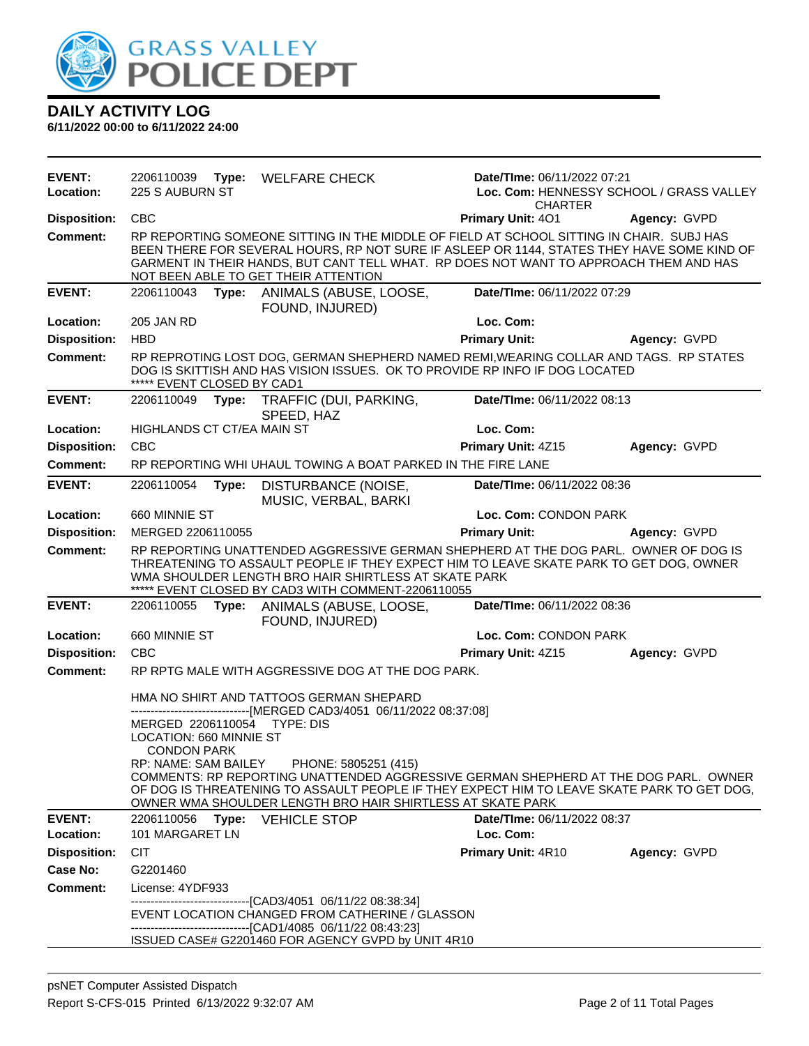

| <b>EVENT:</b><br>Location: | 2206110039<br>225 S AUBURN ST                 |       | Type: WELFARE CHECK                                                                                             | Date/TIme: 06/11/2022 07:21<br><b>CHARTER</b>                                                                                                                                                                                                                                   | Loc. Com: HENNESSY SCHOOL / GRASS VALLEY |
|----------------------------|-----------------------------------------------|-------|-----------------------------------------------------------------------------------------------------------------|---------------------------------------------------------------------------------------------------------------------------------------------------------------------------------------------------------------------------------------------------------------------------------|------------------------------------------|
| <b>Disposition:</b>        | <b>CBC</b>                                    |       |                                                                                                                 | Primary Unit: 401                                                                                                                                                                                                                                                               | Agency: GVPD                             |
| Comment:                   |                                               |       | NOT BEEN ABLE TO GET THEIR ATTENTION                                                                            | RP REPORTING SOMEONE SITTING IN THE MIDDLE OF FIELD AT SCHOOL SITTING IN CHAIR. SUBJ HAS<br>BEEN THERE FOR SEVERAL HOURS, RP NOT SURE IF ASLEEP OR 1144, STATES THEY HAVE SOME KIND OF<br>GARMENT IN THEIR HANDS, BUT CANT TELL WHAT. RP DOES NOT WANT TO APPROACH THEM AND HAS |                                          |
| <b>EVENT:</b>              | 2206110043                                    |       | Type: ANIMALS (ABUSE, LOOSE,<br>FOUND, INJURED)                                                                 | Date/TIme: 06/11/2022 07:29                                                                                                                                                                                                                                                     |                                          |
| Location:                  | 205 JAN RD                                    |       |                                                                                                                 | Loc. Com:                                                                                                                                                                                                                                                                       |                                          |
| <b>Disposition:</b>        | <b>HBD</b>                                    |       |                                                                                                                 | <b>Primary Unit:</b>                                                                                                                                                                                                                                                            | Agency: GVPD                             |
| <b>Comment:</b>            | ***** EVENT CLOSED BY CAD1                    |       |                                                                                                                 | RP REPROTING LOST DOG, GERMAN SHEPHERD NAMED REMI, WEARING COLLAR AND TAGS. RP STATES<br>DOG IS SKITTISH AND HAS VISION ISSUES. OK TO PROVIDE RP INFO IF DOG LOCATED                                                                                                            |                                          |
| <b>EVENT:</b>              | 2206110049                                    |       | Type: TRAFFIC (DUI, PARKING,<br>SPEED, HAZ                                                                      | Date/TIme: 06/11/2022 08:13                                                                                                                                                                                                                                                     |                                          |
| Location:                  | <b>HIGHLANDS CT CT/EA MAIN ST</b>             |       |                                                                                                                 | Loc. Com:                                                                                                                                                                                                                                                                       |                                          |
| <b>Disposition:</b>        | <b>CBC</b>                                    |       |                                                                                                                 | Primary Unit: 4Z15                                                                                                                                                                                                                                                              | Agency: GVPD                             |
| Comment:                   |                                               |       | RP REPORTING WHI UHAUL TOWING A BOAT PARKED IN THE FIRE LANE                                                    |                                                                                                                                                                                                                                                                                 |                                          |
| <b>EVENT:</b>              | 2206110054                                    | Type: | DISTURBANCE (NOISE,<br>MUSIC, VERBAL, BARKI                                                                     | Date/TIme: 06/11/2022 08:36                                                                                                                                                                                                                                                     |                                          |
| Location:                  | 660 MINNIE ST                                 |       |                                                                                                                 | Loc. Com: CONDON PARK                                                                                                                                                                                                                                                           |                                          |
| <b>Disposition:</b>        | MERGED 2206110055                             |       |                                                                                                                 | <b>Primary Unit:</b>                                                                                                                                                                                                                                                            | Agency: GVPD                             |
| <b>Comment:</b>            |                                               |       | WMA SHOULDER LENGTH BRO HAIR SHIRTLESS AT SKATE PARK<br>***** EVENT CLOSED BY CAD3 WITH COMMENT-2206110055      | RP REPORTING UNATTENDED AGGRESSIVE GERMAN SHEPHERD AT THE DOG PARL. OWNER OF DOG IS<br>THREATENING TO ASSAULT PEOPLE IF THEY EXPECT HIM TO LEAVE SKATE PARK TO GET DOG, OWNER                                                                                                   |                                          |
| <b>EVENT:</b>              |                                               |       | 2206110055 Type: ANIMALS (ABUSE, LOOSE,<br>FOUND, INJURED)                                                      | Date/TIme: 06/11/2022 08:36                                                                                                                                                                                                                                                     |                                          |
| Location:                  | 660 MINNIE ST                                 |       |                                                                                                                 | Loc. Com: CONDON PARK                                                                                                                                                                                                                                                           |                                          |
| <b>Disposition:</b>        | <b>CBC</b>                                    |       |                                                                                                                 | Primary Unit: 4Z15                                                                                                                                                                                                                                                              | Agency: GVPD                             |
| <b>Comment:</b>            |                                               |       | RP RPTG MALE WITH AGGRESSIVE DOG AT THE DOG PARK.                                                               |                                                                                                                                                                                                                                                                                 |                                          |
|                            |                                               |       | HMA NO SHIRT AND TATTOOS GERMAN SHEPARD<br>-------------------[MERGED CAD3/4051 06/11/2022 08:37:08]            |                                                                                                                                                                                                                                                                                 |                                          |
|                            | MERGED 2206110054                             |       | TYPE: DIS                                                                                                       |                                                                                                                                                                                                                                                                                 |                                          |
|                            | LOCATION: 660 MINNIE ST<br><b>CONDON PARK</b> |       |                                                                                                                 |                                                                                                                                                                                                                                                                                 |                                          |
|                            | RP: NAME: SAM BAILEY                          |       | PHONE: 5805251 (415)<br>OWNER WMA SHOULDER LENGTH BRO HAIR SHIRTLESS AT SKATE PARK                              | COMMENTS: RP REPORTING UNATTENDED AGGRESSIVE GERMAN SHEPHERD AT THE DOG PARL. OWNER<br>OF DOG IS THREATENING TO ASSAULT PEOPLE IF THEY EXPECT HIM TO LEAVE SKATE PARK TO GET DOG,                                                                                               |                                          |
| <b>EVENT:</b>              | 2206110056                                    |       | Type: VEHICLE STOP                                                                                              | Date/TIme: 06/11/2022 08:37                                                                                                                                                                                                                                                     |                                          |
| Location:                  | 101 MARGARET LN                               |       |                                                                                                                 | Loc. Com:                                                                                                                                                                                                                                                                       |                                          |
| <b>Disposition:</b>        | <b>CIT</b>                                    |       |                                                                                                                 | Primary Unit: 4R10                                                                                                                                                                                                                                                              | Agency: GVPD                             |
| Case No:                   | G2201460                                      |       |                                                                                                                 |                                                                                                                                                                                                                                                                                 |                                          |
| <b>Comment:</b>            | License: 4YDF933                              |       | -------------------------------[CAD3/4051 06/11/22 08:38:34]                                                    |                                                                                                                                                                                                                                                                                 |                                          |
|                            |                                               |       | EVENT LOCATION CHANGED FROM CATHERINE / GLASSON<br>-------------------------------[CAD1/4085 06/11/22 08:43:23] |                                                                                                                                                                                                                                                                                 |                                          |
|                            |                                               |       | ISSUED CASE# G2201460 FOR AGENCY GVPD by UNIT 4R10                                                              |                                                                                                                                                                                                                                                                                 |                                          |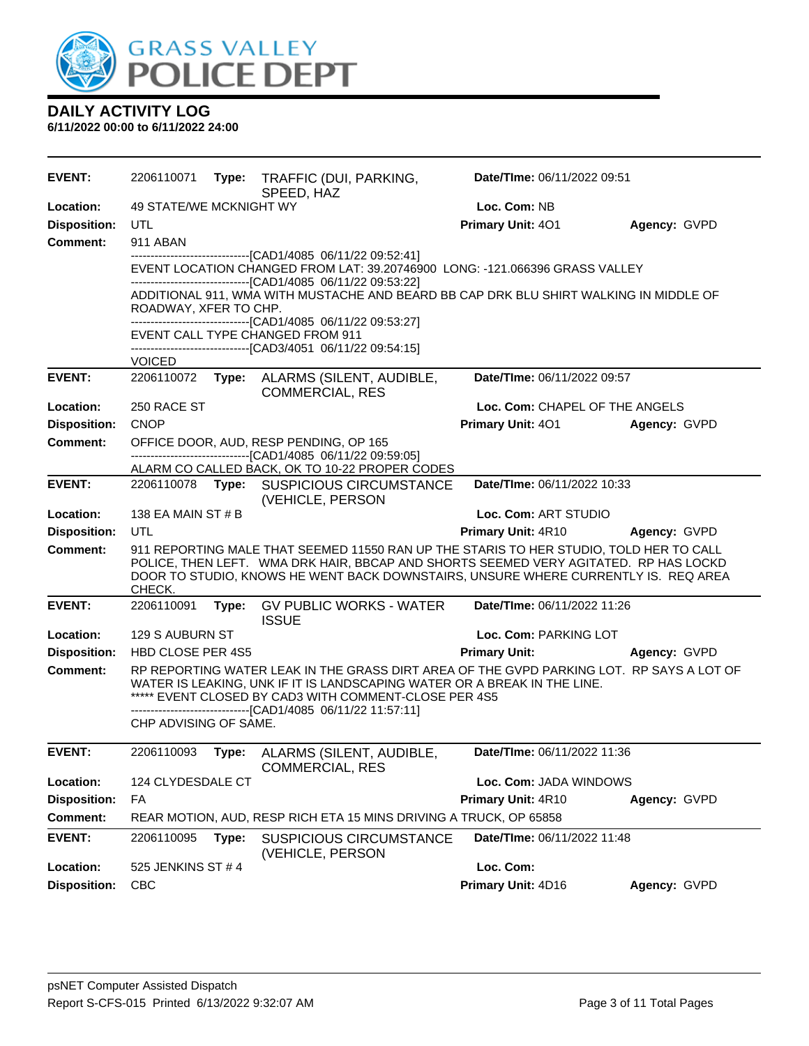

| <b>EVENT:</b>       | 2206110071              |       | Type: TRAFFIC (DUI, PARKING,<br>SPEED, HAZ                                                                                                                                                                                                                                                    | Date/TIme: 06/11/2022 09:51    |              |
|---------------------|-------------------------|-------|-----------------------------------------------------------------------------------------------------------------------------------------------------------------------------------------------------------------------------------------------------------------------------------------------|--------------------------------|--------------|
| Location:           | 49 STATE/WE MCKNIGHT WY |       |                                                                                                                                                                                                                                                                                               | Loc. Com: NB                   |              |
| <b>Disposition:</b> | <b>UTL</b>              |       |                                                                                                                                                                                                                                                                                               | Primary Unit: 401              | Agency: GVPD |
| <b>Comment:</b>     | 911 ABAN                |       |                                                                                                                                                                                                                                                                                               |                                |              |
|                     |                         |       | ---------------------------------[CAD1/4085 06/11/22 09:52:41]<br>EVENT LOCATION CHANGED FROM LAT: 39.20746900 LONG: -121.066396 GRASS VALLEY<br>-------------------------------[CAD1/4085 06/11/22 09:53:22]                                                                                 |                                |              |
|                     | ROADWAY, XFER TO CHP.   |       | ADDITIONAL 911, WMA WITH MUSTACHE AND BEARD BB CAP DRK BLU SHIRT WALKING IN MIDDLE OF                                                                                                                                                                                                         |                                |              |
|                     |                         |       | -------------------------------[CAD1/4085 06/11/22 09:53:27]<br>EVENT CALL TYPE CHANGED FROM 911<br>---------------------------------[CAD3/4051 06/11/22 09:54:15]                                                                                                                            |                                |              |
|                     | <b>VOICED</b>           |       |                                                                                                                                                                                                                                                                                               |                                |              |
| <b>EVENT:</b>       | 2206110072              | Type: | ALARMS (SILENT, AUDIBLE,<br><b>COMMERCIAL, RES</b>                                                                                                                                                                                                                                            | Date/TIme: 06/11/2022 09:57    |              |
| Location:           | 250 RACE ST             |       |                                                                                                                                                                                                                                                                                               | Loc. Com: CHAPEL OF THE ANGELS |              |
| <b>Disposition:</b> | <b>CNOP</b>             |       |                                                                                                                                                                                                                                                                                               | <b>Primary Unit: 401</b>       | Agency: GVPD |
| <b>Comment:</b>     |                         |       | OFFICE DOOR, AUD, RESP PENDING, OP 165<br>--------------------------------[CAD1/4085 06/11/22 09:59:05]                                                                                                                                                                                       |                                |              |
|                     |                         |       | ALARM CO CALLED BACK, OK TO 10-22 PROPER CODES                                                                                                                                                                                                                                                |                                |              |
| <b>EVENT:</b>       |                         |       | 2206110078 Type: SUSPICIOUS CIRCUMSTANCE<br>(VEHICLE, PERSON                                                                                                                                                                                                                                  | Date/TIme: 06/11/2022 10:33    |              |
| Location:           | 138 EA MAIN ST # B      |       |                                                                                                                                                                                                                                                                                               | Loc. Com: ART STUDIO           |              |
| <b>Disposition:</b> | UTL                     |       |                                                                                                                                                                                                                                                                                               | <b>Primary Unit: 4R10</b>      | Agency: GVPD |
| <b>Comment:</b>     | CHECK.                  |       | 911 REPORTING MALE THAT SEEMED 11550 RAN UP THE STARIS TO HER STUDIO, TOLD HER TO CALL<br>POLICE, THEN LEFT. WMA DRK HAIR, BBCAP AND SHORTS SEEMED VERY AGITATED. RP HAS LOCKD<br>DOOR TO STUDIO, KNOWS HE WENT BACK DOWNSTAIRS, UNSURE WHERE CURRENTLY IS. REQ AREA                          |                                |              |
| <b>EVENT:</b>       | 2206110091              | Type: | <b>GV PUBLIC WORKS - WATER</b><br><b>ISSUE</b>                                                                                                                                                                                                                                                | Date/TIme: 06/11/2022 11:26    |              |
| Location:           | 129 S AUBURN ST         |       |                                                                                                                                                                                                                                                                                               | Loc. Com: PARKING LOT          |              |
| <b>Disposition:</b> | HBD CLOSE PER 4S5       |       |                                                                                                                                                                                                                                                                                               | <b>Primary Unit:</b>           | Agency: GVPD |
| <b>Comment:</b>     |                         |       | RP REPORTING WATER LEAK IN THE GRASS DIRT AREA OF THE GVPD PARKING LOT. RP SAYS A LOT OF<br>WATER IS LEAKING, UNK IF IT IS LANDSCAPING WATER OR A BREAK IN THE LINE.<br>***** EVENT CLOSED BY CAD3 WITH COMMENT-CLOSE PER 4S5<br>-------------------------------[CAD1/4085 06/11/22 11:57:11] |                                |              |
|                     | CHP ADVISING OF SAME.   |       |                                                                                                                                                                                                                                                                                               |                                |              |
| <b>EVENT:</b>       | 2206110093              | Type: | ALARMS (SILENT, AUDIBLE,<br><b>COMMERCIAL, RES</b>                                                                                                                                                                                                                                            | Date/TIme: 06/11/2022 11:36    |              |
| Location:           | 124 CLYDESDALE CT       |       |                                                                                                                                                                                                                                                                                               | Loc. Com: JADA WINDOWS         |              |
| <b>Disposition:</b> | FA                      |       |                                                                                                                                                                                                                                                                                               | Primary Unit: 4R10             | Agency: GVPD |
| <b>Comment:</b>     |                         |       | REAR MOTION, AUD, RESP RICH ETA 15 MINS DRIVING A TRUCK, OP 65858                                                                                                                                                                                                                             |                                |              |
| <b>EVENT:</b>       | 2206110095              | Type: | <b>SUSPICIOUS CIRCUMSTANCE</b><br>(VEHICLE, PERSON                                                                                                                                                                                                                                            | Date/TIme: 06/11/2022 11:48    |              |
| Location:           | 525 JENKINS ST #4       |       |                                                                                                                                                                                                                                                                                               | Loc. Com:                      |              |
| <b>Disposition:</b> | <b>CBC</b>              |       |                                                                                                                                                                                                                                                                                               | Primary Unit: 4D16             | Agency: GVPD |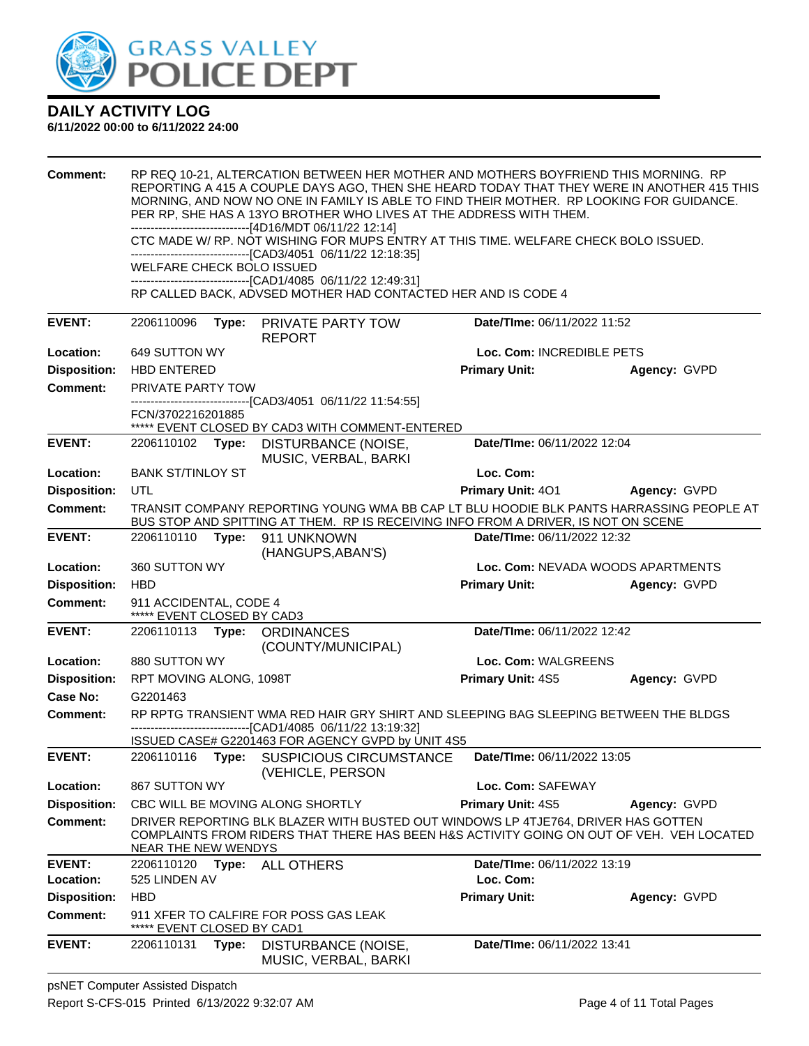

| <b>Comment:</b>     | WELFARE CHECK BOLO ISSUED                            |       | RP REQ 10-21, ALTERCATION BETWEEN HER MOTHER AND MOTHERS BOYFRIEND THIS MORNING. RP<br>REPORTING A 415 A COUPLE DAYS AGO, THEN SHE HEARD TODAY THAT THEY WERE IN ANOTHER 415 THIS<br>MORNING, AND NOW NO ONE IN FAMILY IS ABLE TO FIND THEIR MOTHER. RP LOOKING FOR GUIDANCE.<br>PER RP, SHE HAS A 13YO BROTHER WHO LIVES AT THE ADDRESS WITH THEM.<br>-------------------------------[4D16/MDT 06/11/22 12:14]<br>CTC MADE W/ RP. NOT WISHING FOR MUPS ENTRY AT THIS TIME. WELFARE CHECK BOLO ISSUED.<br>--------------------------------[CAD3/4051 06/11/22 12:18:35]<br>--------------------------------[CAD1/4085 06/11/22 12:49:31] |                             |                                   |
|---------------------|------------------------------------------------------|-------|------------------------------------------------------------------------------------------------------------------------------------------------------------------------------------------------------------------------------------------------------------------------------------------------------------------------------------------------------------------------------------------------------------------------------------------------------------------------------------------------------------------------------------------------------------------------------------------------------------------------------------------|-----------------------------|-----------------------------------|
|                     |                                                      |       | RP CALLED BACK, ADVSED MOTHER HAD CONTACTED HER AND IS CODE 4                                                                                                                                                                                                                                                                                                                                                                                                                                                                                                                                                                            |                             |                                   |
| <b>EVENT:</b>       | 2206110096                                           |       | Type: PRIVATE PARTY TOW<br><b>REPORT</b>                                                                                                                                                                                                                                                                                                                                                                                                                                                                                                                                                                                                 | Date/TIme: 06/11/2022 11:52 |                                   |
| Location:           | 649 SUTTON WY                                        |       |                                                                                                                                                                                                                                                                                                                                                                                                                                                                                                                                                                                                                                          | Loc. Com: INCREDIBLE PETS   |                                   |
| <b>Disposition:</b> | <b>HBD ENTERED</b>                                   |       |                                                                                                                                                                                                                                                                                                                                                                                                                                                                                                                                                                                                                                          | <b>Primary Unit:</b>        | Agency: GVPD                      |
| <b>Comment:</b>     | <b>PRIVATE PARTY TOW</b>                             |       |                                                                                                                                                                                                                                                                                                                                                                                                                                                                                                                                                                                                                                          |                             |                                   |
|                     | FCN/3702216201885                                    |       | -------------------------------[CAD3/4051 06/11/22 11:54:55]<br>***** EVENT CLOSED BY CAD3 WITH COMMENT-ENTERED                                                                                                                                                                                                                                                                                                                                                                                                                                                                                                                          |                             |                                   |
| <b>EVENT:</b>       |                                                      |       | 2206110102 Type: DISTURBANCE (NOISE,<br>MUSIC, VERBAL, BARKI                                                                                                                                                                                                                                                                                                                                                                                                                                                                                                                                                                             | Date/TIme: 06/11/2022 12:04 |                                   |
| Location:           | <b>BANK ST/TINLOY ST</b>                             |       |                                                                                                                                                                                                                                                                                                                                                                                                                                                                                                                                                                                                                                          | Loc. Com:                   |                                   |
| <b>Disposition:</b> | UTL                                                  |       |                                                                                                                                                                                                                                                                                                                                                                                                                                                                                                                                                                                                                                          | <b>Primary Unit: 401</b>    | Agency: GVPD                      |
| Comment:            |                                                      |       | TRANSIT COMPANY REPORTING YOUNG WMA BB CAP LT BLU HOODIE BLK PANTS HARRASSING PEOPLE AT<br>BUS STOP AND SPITTING AT THEM. RP IS RECEIVING INFO FROM A DRIVER, IS NOT ON SCENE                                                                                                                                                                                                                                                                                                                                                                                                                                                            |                             |                                   |
| <b>EVENT:</b>       |                                                      |       | 2206110110 Type: 911 UNKNOWN<br>(HANGUPS, ABAN'S)                                                                                                                                                                                                                                                                                                                                                                                                                                                                                                                                                                                        | Date/TIme: 06/11/2022 12:32 |                                   |
| Location:           | 360 SUTTON WY                                        |       |                                                                                                                                                                                                                                                                                                                                                                                                                                                                                                                                                                                                                                          |                             | Loc. Com: NEVADA WOODS APARTMENTS |
| <b>Disposition:</b> | <b>HBD</b>                                           |       |                                                                                                                                                                                                                                                                                                                                                                                                                                                                                                                                                                                                                                          | <b>Primary Unit:</b>        | Agency: GVPD                      |
| <b>Comment:</b>     | 911 ACCIDENTAL, CODE 4<br>***** EVENT CLOSED BY CAD3 |       |                                                                                                                                                                                                                                                                                                                                                                                                                                                                                                                                                                                                                                          |                             |                                   |
| <b>EVENT:</b>       |                                                      |       | 2206110113 Type: ORDINANCES<br>(COUNTY/MUNICIPAL)                                                                                                                                                                                                                                                                                                                                                                                                                                                                                                                                                                                        | Date/TIme: 06/11/2022 12:42 |                                   |
| Location:           | 880 SUTTON WY                                        |       |                                                                                                                                                                                                                                                                                                                                                                                                                                                                                                                                                                                                                                          | Loc. Com: WALGREENS         |                                   |
| <b>Disposition:</b> | RPT MOVING ALONG, 1098T                              |       |                                                                                                                                                                                                                                                                                                                                                                                                                                                                                                                                                                                                                                          | Primary Unit: 4S5           | Agency: GVPD                      |
| Case No:            | G2201463                                             |       |                                                                                                                                                                                                                                                                                                                                                                                                                                                                                                                                                                                                                                          |                             |                                   |
| Comment:            |                                                      |       | RP RPTG TRANSIENT WMA RED HAIR GRY SHIRT AND SLEEPING BAG SLEEPING BETWEEN THE BLDGS<br>-------------------------[CAD1/4085_06/11/22 13:19:32]                                                                                                                                                                                                                                                                                                                                                                                                                                                                                           |                             |                                   |
|                     |                                                      |       | ISSUED CASE# G2201463 FOR AGENCY GVPD by UNIT 4S5                                                                                                                                                                                                                                                                                                                                                                                                                                                                                                                                                                                        |                             |                                   |
| <b>EVENT:</b>       |                                                      |       | 2206110116 Type: SUSPICIOUS CIRCUMSTANCE<br>(VEHICLE, PERSON                                                                                                                                                                                                                                                                                                                                                                                                                                                                                                                                                                             | Date/TIme: 06/11/2022 13:05 |                                   |
| Location:           | 867 SUTTON WY                                        |       |                                                                                                                                                                                                                                                                                                                                                                                                                                                                                                                                                                                                                                          | Loc. Com: SAFEWAY           |                                   |
| <b>Disposition:</b> |                                                      |       | CBC WILL BE MOVING ALONG SHORTLY                                                                                                                                                                                                                                                                                                                                                                                                                                                                                                                                                                                                         | Primary Unit: 4S5           | Agency: GVPD                      |
| <b>Comment:</b>     | NEAR THE NEW WENDYS                                  |       | DRIVER REPORTING BLK BLAZER WITH BUSTED OUT WINDOWS LP 4TJE764, DRIVER HAS GOTTEN<br>COMPLAINTS FROM RIDERS THAT THERE HAS BEEN H&S ACTIVITY GOING ON OUT OF VEH. VEH LOCATED                                                                                                                                                                                                                                                                                                                                                                                                                                                            |                             |                                   |
| <b>EVENT:</b>       |                                                      |       | 2206110120 Type: ALL OTHERS                                                                                                                                                                                                                                                                                                                                                                                                                                                                                                                                                                                                              | Date/TIme: 06/11/2022 13:19 |                                   |
| Location:           | 525 LINDEN AV                                        |       |                                                                                                                                                                                                                                                                                                                                                                                                                                                                                                                                                                                                                                          | Loc. Com:                   |                                   |
| <b>Disposition:</b> | <b>HBD</b>                                           |       |                                                                                                                                                                                                                                                                                                                                                                                                                                                                                                                                                                                                                                          | <b>Primary Unit:</b>        | Agency: GVPD                      |
| <b>Comment:</b>     | EVENT CLOSED BY CAD1                                 |       | 911 XFER TO CALFIRE FOR POSS GAS LEAK                                                                                                                                                                                                                                                                                                                                                                                                                                                                                                                                                                                                    |                             |                                   |
| <b>EVENT:</b>       | 2206110131                                           | Type: | DISTURBANCE (NOISE,<br>MUSIC, VERBAL, BARKI                                                                                                                                                                                                                                                                                                                                                                                                                                                                                                                                                                                              | Date/TIme: 06/11/2022 13:41 |                                   |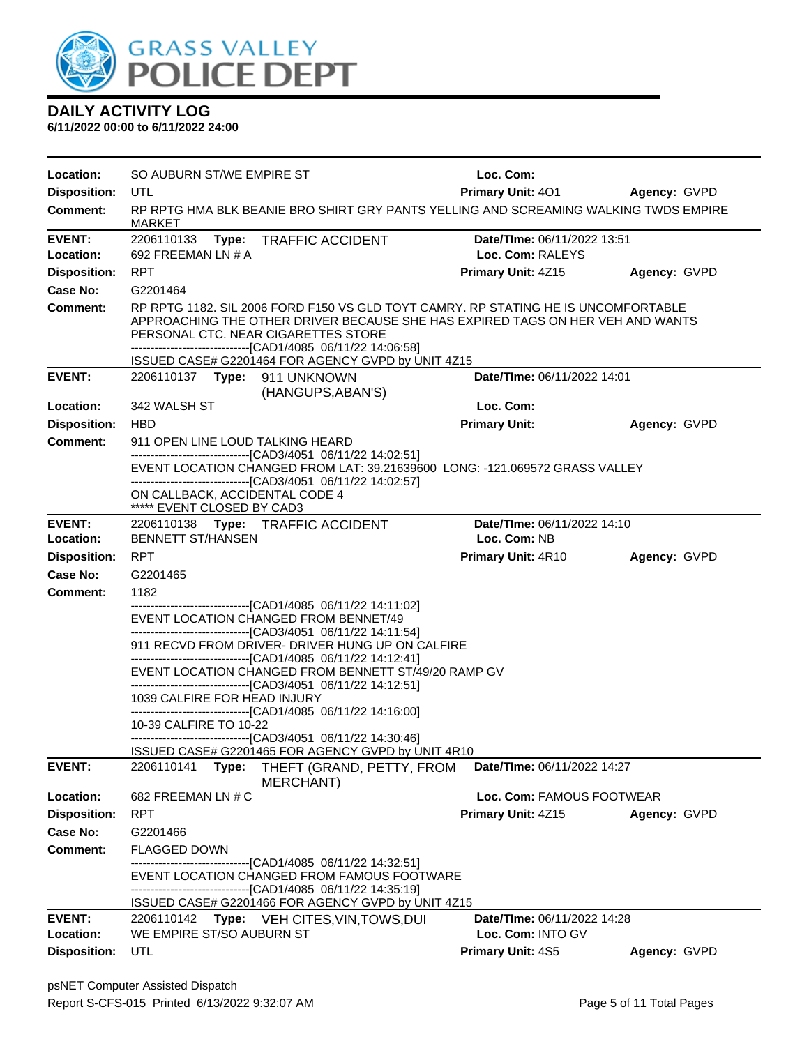

| Location:                  | SO AUBURN ST/WE EMPIRE ST                                                                                                                                                                                                                                                   | Loc. Com:                                        |              |
|----------------------------|-----------------------------------------------------------------------------------------------------------------------------------------------------------------------------------------------------------------------------------------------------------------------------|--------------------------------------------------|--------------|
| <b>Disposition:</b>        | UTL                                                                                                                                                                                                                                                                         | <b>Primary Unit: 401</b>                         | Agency: GVPD |
| <b>Comment:</b>            | RP RPTG HMA BLK BEANIE BRO SHIRT GRY PANTS YELLING AND SCREAMING WALKING TWDS EMPIRE<br><b>MARKET</b>                                                                                                                                                                       |                                                  |              |
| EVENT:                     | <b>TRAFFIC ACCIDENT</b><br>2206110133<br>Type:                                                                                                                                                                                                                              | Date/TIme: 06/11/2022 13:51                      |              |
| Location:                  | 692 FREEMAN LN # A                                                                                                                                                                                                                                                          | Loc. Com: RALEYS                                 |              |
| <b>Disposition:</b>        | <b>RPT</b>                                                                                                                                                                                                                                                                  | Primary Unit: 4Z15                               | Agency: GVPD |
| Case No:                   | G2201464                                                                                                                                                                                                                                                                    |                                                  |              |
| Comment:                   | RP RPTG 1182, SIL 2006 FORD F150 VS GLD TOYT CAMRY, RP STATING HE IS UNCOMFORTABLE<br>APPROACHING THE OTHER DRIVER BECAUSE SHE HAS EXPIRED TAGS ON HER VEH AND WANTS<br>PERSONAL CTC. NEAR CIGARETTES STORE<br>-------------------------------[CAD1/4085 06/11/22 14:06:58] |                                                  |              |
|                            | ISSUED CASE# G2201464 FOR AGENCY GVPD by UNIT 4Z15                                                                                                                                                                                                                          |                                                  |              |
| <b>EVENT:</b>              | 2206110137 Type: 911 UNKNOWN<br>(HANGUPS, ABAN'S)                                                                                                                                                                                                                           | Date/TIme: 06/11/2022 14:01                      |              |
| Location:                  | 342 WALSH ST                                                                                                                                                                                                                                                                | Loc. Com:                                        |              |
| <b>Disposition:</b>        | <b>HBD</b>                                                                                                                                                                                                                                                                  | <b>Primary Unit:</b>                             | Agency: GVPD |
| <b>Comment:</b>            | 911 OPEN LINE LOUD TALKING HEARD                                                                                                                                                                                                                                            |                                                  |              |
|                            | -------------------------------[CAD3/4051 06/11/22 14:02:51]<br>EVENT LOCATION CHANGED FROM LAT: 39.21639600 LONG: -121.069572 GRASS VALLEY                                                                                                                                 |                                                  |              |
|                            | -------------------------------[CAD3/4051_06/11/22 14:02:57]<br>ON CALLBACK, ACCIDENTAL CODE 4<br>***** EVENT CLOSED BY CAD3                                                                                                                                                |                                                  |              |
| <b>EVENT:</b>              | 2206110138 Type: TRAFFIC ACCIDENT                                                                                                                                                                                                                                           | Date/TIme: 06/11/2022 14:10                      |              |
| Location:                  | <b>BENNETT ST/HANSEN</b>                                                                                                                                                                                                                                                    | Loc. Com: NB                                     |              |
| <b>Disposition:</b>        | RPT                                                                                                                                                                                                                                                                         | <b>Primary Unit: 4R10</b>                        | Agency: GVPD |
| Case No:                   | G2201465                                                                                                                                                                                                                                                                    |                                                  |              |
| Comment:                   | 1182                                                                                                                                                                                                                                                                        |                                                  |              |
|                            | ---------------------------------[CAD1/4085_06/11/22_14:11:02]<br>EVENT LOCATION CHANGED FROM BENNET/49                                                                                                                                                                     |                                                  |              |
|                            | ------------------------------[CAD3/4051 06/11/22 14:11:54]                                                                                                                                                                                                                 |                                                  |              |
|                            | 911 RECVD FROM DRIVER- DRIVER HUNG UP ON CALFIRE                                                                                                                                                                                                                            |                                                  |              |
|                            | -------------------------------[CAD1/4085 06/11/22 14:12:41]<br>EVENT LOCATION CHANGED FROM BENNETT ST/49/20 RAMP GV                                                                                                                                                        |                                                  |              |
|                            | -------------------------------[CAD3/4051_06/11/22 14:12:51]                                                                                                                                                                                                                |                                                  |              |
|                            | 1039 CALFIRE FOR HEAD INJURY                                                                                                                                                                                                                                                |                                                  |              |
|                            | -------------------------------[CAD1/4085 06/11/22 14:16:00]<br>10-39 CALFIRE TO 10-22                                                                                                                                                                                      |                                                  |              |
|                            | --------------------------------[CAD3/4051_06/11/22 14:30:46]                                                                                                                                                                                                               |                                                  |              |
|                            | ISSUED CASE# G2201465 FOR AGENCY GVPD by UNIT 4R10                                                                                                                                                                                                                          |                                                  |              |
| <b>EVENT:</b>              | 2206110141<br>Type:<br>THEFT (GRAND, PETTY, FROM<br>MERCHANT)                                                                                                                                                                                                               | Date/TIme: 06/11/2022 14:27                      |              |
| Location:                  | 682 FREEMAN LN # C                                                                                                                                                                                                                                                          | Loc. Com: FAMOUS FOOTWEAR                        |              |
| <b>Disposition:</b>        | <b>RPT</b>                                                                                                                                                                                                                                                                  | Primary Unit: 4Z15                               | Agency: GVPD |
| Case No:                   | G2201466                                                                                                                                                                                                                                                                    |                                                  |              |
| <b>Comment:</b>            | <b>FLAGGED DOWN</b>                                                                                                                                                                                                                                                         |                                                  |              |
|                            | -------------------------[CAD1/4085_06/11/22 14:32:51]<br>EVENT LOCATION CHANGED FROM FAMOUS FOOTWARE                                                                                                                                                                       |                                                  |              |
|                            | --------------------------------[CAD1/4085 06/11/22 14:35:19]                                                                                                                                                                                                               |                                                  |              |
|                            | ISSUED CASE# G2201466 FOR AGENCY GVPD by UNIT 4Z15                                                                                                                                                                                                                          |                                                  |              |
| <b>EVENT:</b><br>Location: | 2206110142<br>Type: VEH CITES, VIN, TOWS, DUI<br>WE EMPIRE ST/SO AUBURN ST                                                                                                                                                                                                  | Date/TIme: 06/11/2022 14:28<br>Loc. Com: INTO GV |              |
| <b>Disposition:</b>        | UTL                                                                                                                                                                                                                                                                         | Primary Unit: 4S5                                | Agency: GVPD |
|                            |                                                                                                                                                                                                                                                                             |                                                  |              |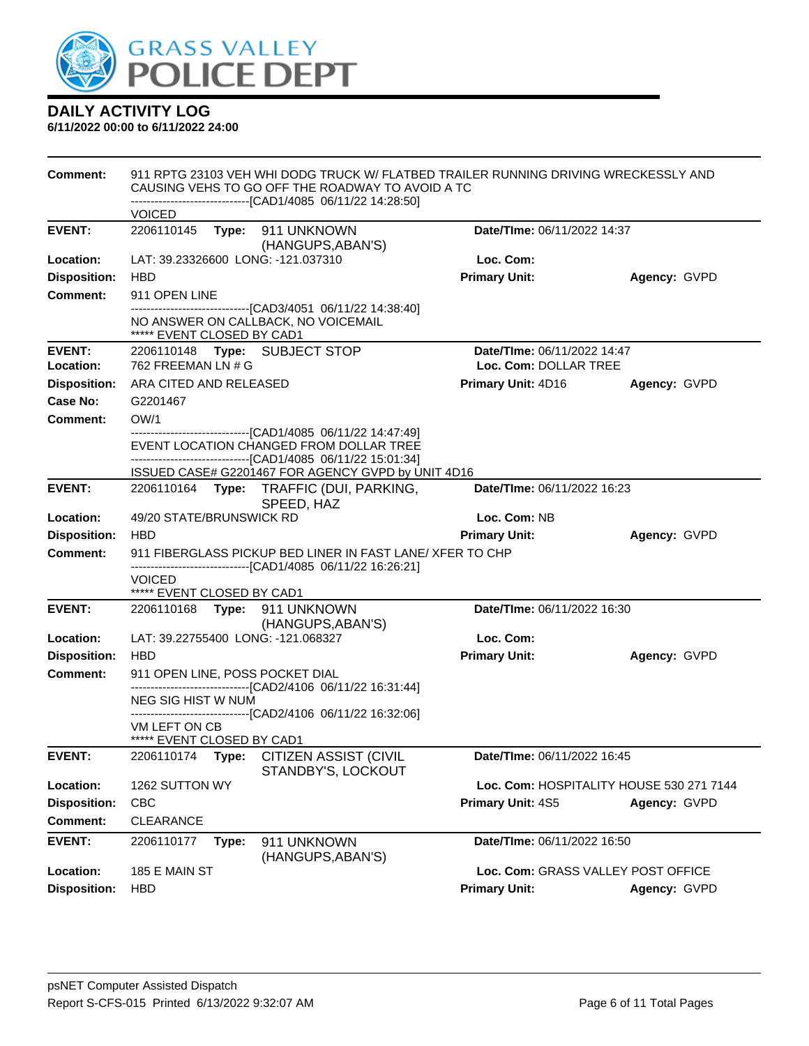

| <b>Comment:</b>     |                                             |       | 911 RPTG 23103 VEH WHI DODG TRUCK W/ FLATBED TRAILER RUNNING DRIVING WRECKESSLY AND<br>CAUSING VEHS TO GO OFF THE ROADWAY TO AVOID A TC<br>-------------------------------[CAD1/4085 06/11/22 14:28:50] |                                    |                                          |
|---------------------|---------------------------------------------|-------|---------------------------------------------------------------------------------------------------------------------------------------------------------------------------------------------------------|------------------------------------|------------------------------------------|
|                     | <b>VOICED</b>                               |       |                                                                                                                                                                                                         |                                    |                                          |
| <b>EVENT:</b>       |                                             |       | 2206110145    Type: 911    UNKNOWN<br>(HANGUPS, ABAN'S)                                                                                                                                                 | Date/TIme: 06/11/2022 14:37        |                                          |
| Location:           |                                             |       | LAT: 39.23326600 LONG: -121.037310                                                                                                                                                                      | Loc. Com:                          |                                          |
| <b>Disposition:</b> | <b>HBD</b>                                  |       |                                                                                                                                                                                                         | <b>Primary Unit:</b>               | Agency: GVPD                             |
| <b>Comment:</b>     | 911 OPEN LINE                               |       | ---------------------------[CAD3/4051 06/11/22 14:38:40]                                                                                                                                                |                                    |                                          |
|                     | ***** EVENT CLOSED BY CAD1                  |       | NO ANSWER ON CALLBACK, NO VOICEMAIL                                                                                                                                                                     |                                    |                                          |
| <b>EVENT:</b>       |                                             |       | 2206110148 Type: SUBJECT STOP                                                                                                                                                                           | Date/TIme: 06/11/2022 14:47        |                                          |
| Location:           | 762 FREEMAN LN # G                          |       |                                                                                                                                                                                                         | Loc. Com: DOLLAR TREE              |                                          |
| <b>Disposition:</b> | ARA CITED AND RELEASED                      |       |                                                                                                                                                                                                         | <b>Primary Unit: 4D16</b>          | Agency: GVPD                             |
| <b>Case No:</b>     | G2201467                                    |       |                                                                                                                                                                                                         |                                    |                                          |
| Comment:            | OW/1                                        |       |                                                                                                                                                                                                         |                                    |                                          |
|                     |                                             |       | -------------------------------[CAD1/4085 06/11/22 14:47:49]<br>EVENT LOCATION CHANGED FROM DOLLAR TREE<br>-------------------------------[CAD1/4085 06/11/22 15:01:34]                                 |                                    |                                          |
|                     |                                             |       | ISSUED CASE# G2201467 FOR AGENCY GVPD by UNIT 4D16                                                                                                                                                      |                                    |                                          |
| <b>EVENT:</b>       |                                             |       | 2206110164 Type: TRAFFIC (DUI, PARKING,<br>SPEED, HAZ                                                                                                                                                   | Date/TIme: 06/11/2022 16:23        |                                          |
| Location:           | 49/20 STATE/BRUNSWICK RD                    |       |                                                                                                                                                                                                         | Loc. Com: NB                       |                                          |
| <b>Disposition:</b> | <b>HBD</b>                                  |       |                                                                                                                                                                                                         | <b>Primary Unit:</b>               | Agency: GVPD                             |
| <b>Comment:</b>     |                                             |       | 911 FIBERGLASS PICKUP BED LINER IN FAST LANE/XFER TO CHP                                                                                                                                                |                                    |                                          |
|                     |                                             |       | -------------------------------[CAD1/4085 06/11/22 16:26:21]                                                                                                                                            |                                    |                                          |
|                     | <b>VOICED</b><br>***** EVENT CLOSED BY CAD1 |       |                                                                                                                                                                                                         |                                    |                                          |
| <b>EVENT:</b>       |                                             |       | 2206110168 Type: 911 UNKNOWN<br>(HANGUPS, ABAN'S)                                                                                                                                                       | Date/TIme: 06/11/2022 16:30        |                                          |
| Location:           |                                             |       | LAT: 39.22755400 LONG: -121.068327                                                                                                                                                                      | Loc. Com:                          |                                          |
| <b>Disposition:</b> | <b>HBD</b>                                  |       |                                                                                                                                                                                                         | <b>Primary Unit:</b>               | Agency: GVPD                             |
| <b>Comment:</b>     |                                             |       | 911 OPEN LINE, POSS POCKET DIAL                                                                                                                                                                         |                                    |                                          |
|                     | NEG SIG HIST W NUM                          |       | -------------------------------[CAD2/4106 06/11/22 16:31:44]                                                                                                                                            |                                    |                                          |
|                     |                                             |       | ---------------------------------[CAD2/4106 06/11/22 16:32:06]                                                                                                                                          |                                    |                                          |
|                     | VM LEFT ON CB<br>***** EVENT CLOSED BY CAD1 |       |                                                                                                                                                                                                         |                                    |                                          |
| <b>EVENT:</b>       |                                             |       | 2206110174 Type: CITIZEN ASSIST (CIVIL<br>STANDBY'S, LOCKOUT                                                                                                                                            | Date/TIme: 06/11/2022 16:45        |                                          |
| Location:           | 1262 SUTTON WY                              |       |                                                                                                                                                                                                         |                                    | Loc. Com: HOSPITALITY HOUSE 530 271 7144 |
| <b>Disposition:</b> | <b>CBC</b>                                  |       |                                                                                                                                                                                                         | Primary Unit: 4S5                  | Agency: GVPD                             |
| <b>Comment:</b>     | <b>CLEARANCE</b>                            |       |                                                                                                                                                                                                         |                                    |                                          |
| <b>EVENT:</b>       | 2206110177                                  | Type: | 911 UNKNOWN<br>(HANGUPS, ABAN'S)                                                                                                                                                                        | Date/TIme: 06/11/2022 16:50        |                                          |
| Location:           | 185 E MAIN ST                               |       |                                                                                                                                                                                                         | Loc. Com: GRASS VALLEY POST OFFICE |                                          |
| <b>Disposition:</b> | <b>HBD</b>                                  |       |                                                                                                                                                                                                         | <b>Primary Unit:</b>               | Agency: GVPD                             |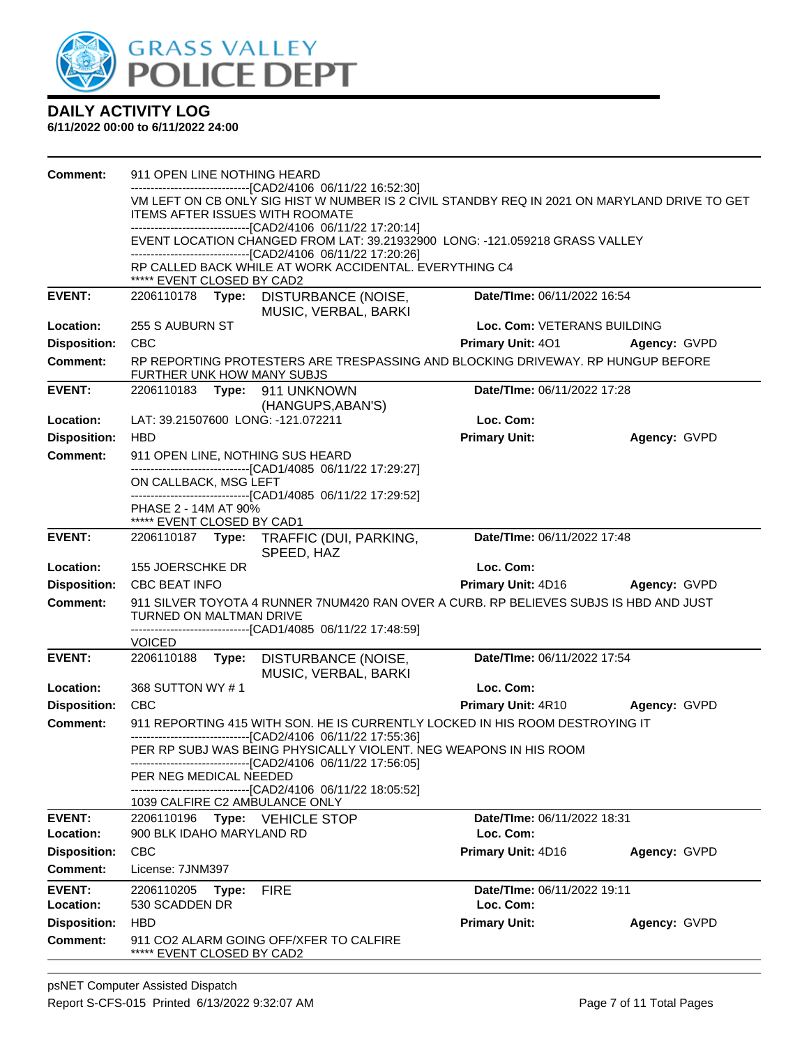

| <b>Comment:</b>            | 911 OPEN LINE NOTHING HEARD                                                                                                                                                      |                                          |              |
|----------------------------|----------------------------------------------------------------------------------------------------------------------------------------------------------------------------------|------------------------------------------|--------------|
|                            | --------------------[CAD2/4106 06/11/22 16:52:30]<br>VM LEFT ON CB ONLY SIG HIST W NUMBER IS 2 CIVIL STANDBY REQ IN 2021 ON MARYLAND DRIVE TO GET                                |                                          |              |
|                            | <b>ITEMS AFTER ISSUES WITH ROOMATE</b>                                                                                                                                           |                                          |              |
|                            | -------------------------------[CAD2/4106 06/11/22 17:20:14]                                                                                                                     |                                          |              |
|                            | EVENT LOCATION CHANGED FROM LAT: 39.21932900 LONG: -121.059218 GRASS VALLEY<br>-------------------------------[CAD2/4106 06/11/22 17:20:26]                                      |                                          |              |
|                            | RP CALLED BACK WHILE AT WORK ACCIDENTAL. EVERYTHING C4<br>***** EVENT CLOSED BY CAD2                                                                                             |                                          |              |
| <b>EVENT:</b>              | 2206110178<br>Type: DISTURBANCE (NOISE,<br>MUSIC, VERBAL, BARKI                                                                                                                  | Date/TIme: 06/11/2022 16:54              |              |
| Location:                  | 255 S AUBURN ST                                                                                                                                                                  | Loc. Com: VETERANS BUILDING              |              |
| <b>Disposition:</b>        | <b>CBC</b>                                                                                                                                                                       | <b>Primary Unit: 401</b>                 | Agency: GVPD |
| <b>Comment:</b>            | RP REPORTING PROTESTERS ARE TRESPASSING AND BLOCKING DRIVEWAY. RP HUNGUP BEFORE<br>FURTHER UNK HOW MANY SUBJS                                                                    |                                          |              |
| <b>EVENT:</b>              | 2206110183<br>Type: 911 UNKNOWN<br>(HANGUPS, ABAN'S)                                                                                                                             | Date/TIme: 06/11/2022 17:28              |              |
| Location:                  | LAT: 39.21507600 LONG: -121.072211                                                                                                                                               | Loc. Com:                                |              |
| <b>Disposition:</b>        | <b>HBD</b>                                                                                                                                                                       | <b>Primary Unit:</b>                     | Agency: GVPD |
| <b>Comment:</b>            | 911 OPEN LINE, NOTHING SUS HEARD                                                                                                                                                 |                                          |              |
|                            | -------------------------------[CAD1/4085 06/11/22 17:29:27]                                                                                                                     |                                          |              |
|                            | ON CALLBACK, MSG LEFT<br>-------------------------------[CAD1/4085 06/11/22 17:29:52]                                                                                            |                                          |              |
|                            | PHASE 2 - 14M AT 90%                                                                                                                                                             |                                          |              |
|                            | ***** EVENT CLOSED BY CAD1                                                                                                                                                       |                                          |              |
| <b>EVENT:</b>              | 2206110187 Type: TRAFFIC (DUI, PARKING,<br>SPEED, HAZ                                                                                                                            | Date/TIme: 06/11/2022 17:48              |              |
| Location:                  | 155 JOERSCHKE DR                                                                                                                                                                 | Loc. Com:                                |              |
| <b>Disposition:</b>        | <b>CBC BEAT INFO</b>                                                                                                                                                             | Primary Unit: 4D16                       | Agency: GVPD |
| <b>Comment:</b>            | 911 SILVER TOYOTA 4 RUNNER 7NUM420 RAN OVER A CURB. RP BELIEVES SUBJS IS HBD AND JUST<br>TURNED ON MALTMAN DRIVE<br>-------------------------------[CAD1/4085 06/11/22 17:48:59] |                                          |              |
|                            | <b>VOICED</b>                                                                                                                                                                    |                                          |              |
| <b>EVENT:</b>              | 2206110188<br>Type:<br>DISTURBANCE (NOISE,<br>MUSIC, VERBAL, BARKI                                                                                                               | Date/TIme: 06/11/2022 17:54              |              |
| Location:                  | 368 SUTTON WY #1                                                                                                                                                                 | Loc. Com:                                |              |
| <b>Disposition:</b>        | <b>CBC</b>                                                                                                                                                                       | <b>Primary Unit: 4R10</b>                | Agency: GVPD |
| <b>Comment:</b>            | 911 REPORTING 415 WITH SON. HE IS CURRENTLY LOCKED IN HIS ROOM DESTROYING IT<br>------------------------------[CAD2/4106 06/11/22 17:55:36]                                      |                                          |              |
|                            | PER RP SUBJ WAS BEING PHYSICALLY VIOLENT. NEG WEAPONS IN HIS ROOM<br>----------------------------[CAD2/4106_06/11/22 17:56:05]                                                   |                                          |              |
|                            | PER NEG MEDICAL NEEDED<br>-------------------------[CAD2/4106 06/11/22 18:05:52]                                                                                                 |                                          |              |
|                            | 1039 CALFIRE C2 AMBULANCE ONLY                                                                                                                                                   |                                          |              |
| <b>EVENT:</b>              | 2206110196<br>Type: VEHICLE STOP                                                                                                                                                 | Date/TIme: 06/11/2022 18:31              |              |
| Location:                  | 900 BLK IDAHO MARYLAND RD                                                                                                                                                        | Loc. Com:                                |              |
| <b>Disposition:</b>        | <b>CBC</b>                                                                                                                                                                       | Primary Unit: 4D16                       | Agency: GVPD |
| Comment:                   | License: 7JNM397                                                                                                                                                                 |                                          |              |
| <b>EVENT:</b><br>Location: | 2206110205<br>Type:<br><b>FIRE</b><br>530 SCADDEN DR                                                                                                                             | Date/TIme: 06/11/2022 19:11<br>Loc. Com: |              |
| <b>Disposition:</b>        | <b>HBD</b>                                                                                                                                                                       | <b>Primary Unit:</b>                     | Agency: GVPD |
| <b>Comment:</b>            | 911 CO2 ALARM GOING OFF/XFER TO CALFIRE<br>***** EVENT CLOSED BY CAD2                                                                                                            |                                          |              |
|                            |                                                                                                                                                                                  |                                          |              |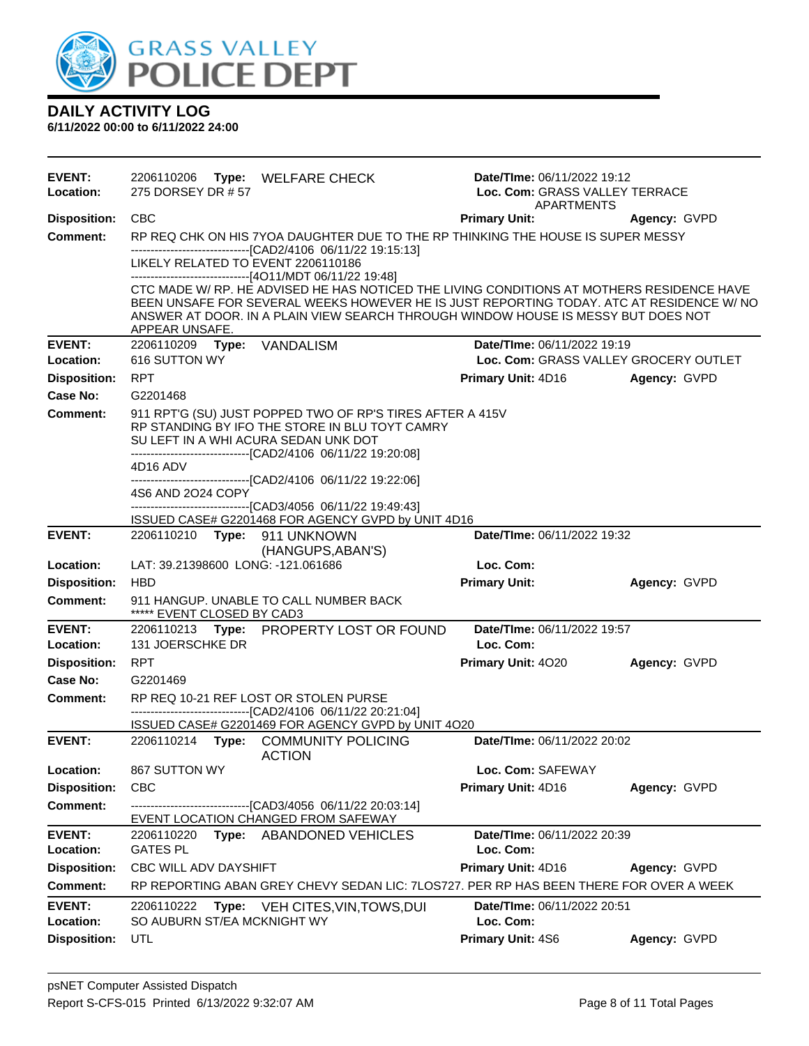

| <b>EVENT:</b><br>Location: | 2206110206 Type: WELFARE CHECK<br>275 DORSEY DR # 57                                                                                                                                                                                                                                         | Date/TIme: 06/11/2022 19:12<br>Loc. Com: GRASS VALLEY TERRACE<br><b>APARTMENTS</b> |              |
|----------------------------|----------------------------------------------------------------------------------------------------------------------------------------------------------------------------------------------------------------------------------------------------------------------------------------------|------------------------------------------------------------------------------------|--------------|
| <b>Disposition:</b>        | <b>CBC</b>                                                                                                                                                                                                                                                                                   | <b>Primary Unit:</b>                                                               | Agency: GVPD |
| <b>Comment:</b>            | RP REQ CHK ON HIS 7YOA DAUGHTER DUE TO THE RP THINKING THE HOUSE IS SUPER MESSY                                                                                                                                                                                                              |                                                                                    |              |
|                            | ------------------------------[CAD2/4106 06/11/22 19:15:13]                                                                                                                                                                                                                                  |                                                                                    |              |
|                            | LIKELY RELATED TO EVENT 2206110186<br>------------------------------[4O11/MDT 06/11/22 19:48]                                                                                                                                                                                                |                                                                                    |              |
|                            | CTC MADE W/ RP. HE ADVISED HE HAS NOTICED THE LIVING CONDITIONS AT MOTHERS RESIDENCE HAVE<br>BEEN UNSAFE FOR SEVERAL WEEKS HOWEVER HE IS JUST REPORTING TODAY. ATC AT RESIDENCE W/ NO<br>ANSWER AT DOOR. IN A PLAIN VIEW SEARCH THROUGH WINDOW HOUSE IS MESSY BUT DOES NOT<br>APPEAR UNSAFE. |                                                                                    |              |
| <b>EVENT:</b>              | 2206110209<br><b>Type: VANDALISM</b>                                                                                                                                                                                                                                                         | Date/TIme: 06/11/2022 19:19                                                        |              |
| Location:                  | 616 SUTTON WY                                                                                                                                                                                                                                                                                | Loc. Com: GRASS VALLEY GROCERY OUTLET                                              |              |
| <b>Disposition:</b>        | <b>RPT</b>                                                                                                                                                                                                                                                                                   | <b>Primary Unit: 4D16</b>                                                          | Agency: GVPD |
| <b>Case No:</b>            | G2201468                                                                                                                                                                                                                                                                                     |                                                                                    |              |
| <b>Comment:</b>            | 911 RPT'G (SU) JUST POPPED TWO OF RP'S TIRES AFTER A 415V                                                                                                                                                                                                                                    |                                                                                    |              |
|                            | RP STANDING BY IFO THE STORE IN BLU TOYT CAMRY<br>SU LEFT IN A WHI ACURA SEDAN UNK DOT                                                                                                                                                                                                       |                                                                                    |              |
|                            | -------------------------------[CAD2/4106 06/11/22 19:20:08]                                                                                                                                                                                                                                 |                                                                                    |              |
|                            | 4D16 ADV                                                                                                                                                                                                                                                                                     |                                                                                    |              |
|                            | ------------------------------[CAD2/4106 06/11/22 19:22:06]<br>4S6 AND 2O24 COPY                                                                                                                                                                                                             |                                                                                    |              |
|                            | -------------------------------[CAD3/4056_06/11/22 19:49:43]                                                                                                                                                                                                                                 |                                                                                    |              |
|                            | ISSUED CASE# G2201468 FOR AGENCY GVPD by UNIT 4D16                                                                                                                                                                                                                                           |                                                                                    |              |
| <b>EVENT:</b>              | 2206110210 Type: 911 UNKNOWN                                                                                                                                                                                                                                                                 | Date/TIme: 06/11/2022 19:32                                                        |              |
| Location:                  | (HANGUPS, ABAN'S)<br>LAT: 39.21398600 LONG: -121.061686                                                                                                                                                                                                                                      | Loc. Com:                                                                          |              |
| <b>Disposition:</b>        | <b>HBD</b>                                                                                                                                                                                                                                                                                   | <b>Primary Unit:</b>                                                               | Agency: GVPD |
| <b>Comment:</b>            | 911 HANGUP. UNABLE TO CALL NUMBER BACK<br>***** EVENT CLOSED BY CAD3                                                                                                                                                                                                                         |                                                                                    |              |
| <b>EVENT:</b>              | 2206110213 Type: PROPERTY LOST OR FOUND                                                                                                                                                                                                                                                      | Date/TIme: 06/11/2022 19:57                                                        |              |
| Location:                  | 131 JOERSCHKE DR                                                                                                                                                                                                                                                                             | Loc. Com:                                                                          |              |
| <b>Disposition:</b>        | <b>RPT</b>                                                                                                                                                                                                                                                                                   | Primary Unit: 4020                                                                 | Agency: GVPD |
| Case No:                   | G2201469                                                                                                                                                                                                                                                                                     |                                                                                    |              |
| <b>Comment:</b>            | RP REQ 10-21 REF LOST OR STOLEN PURSE                                                                                                                                                                                                                                                        |                                                                                    |              |
|                            | -------------------------------[CAD2/4106 06/11/22 20:21:04]<br>ISSUED CASE# G2201469 FOR AGENCY GVPD by UNIT 4O20                                                                                                                                                                           |                                                                                    |              |
| <b>EVENT:</b>              | 2206110214 Type: COMMUNITY POLICING<br><b>ACTION</b>                                                                                                                                                                                                                                         | Date/TIme: 06/11/2022 20:02                                                        |              |
| Location:                  | 867 SUTTON WY                                                                                                                                                                                                                                                                                | Loc. Com: SAFEWAY                                                                  |              |
| <b>Disposition:</b>        | <b>CBC</b>                                                                                                                                                                                                                                                                                   | Primary Unit: 4D16                                                                 | Agency: GVPD |
| <b>Comment:</b>            | -------------------------------[CAD3/4056 06/11/22 20:03:14]                                                                                                                                                                                                                                 |                                                                                    |              |
|                            | EVENT LOCATION CHANGED FROM SAFEWAY                                                                                                                                                                                                                                                          |                                                                                    |              |
| <b>EVENT:</b><br>Location: | Type: ABANDONED VEHICLES<br>2206110220<br><b>GATES PL</b>                                                                                                                                                                                                                                    | Date/TIme: 06/11/2022 20:39<br>Loc. Com:                                           |              |
| <b>Disposition:</b>        | CBC WILL ADV DAYSHIFT                                                                                                                                                                                                                                                                        | Primary Unit: 4D16                                                                 | Agency: GVPD |
| <b>Comment:</b>            | RP REPORTING ABAN GREY CHEVY SEDAN LIC: 7LOS727. PER RP HAS BEEN THERE FOR OVER A WEEK                                                                                                                                                                                                       |                                                                                    |              |
| <b>EVENT:</b>              |                                                                                                                                                                                                                                                                                              | Date/TIme: 06/11/2022 20:51                                                        |              |
| Location:                  | 2206110222<br>Type: VEH CITES, VIN, TOWS, DUI<br>SO AUBURN ST/EA MCKNIGHT WY                                                                                                                                                                                                                 | Loc. Com:                                                                          |              |
| <b>Disposition:</b>        | UTL                                                                                                                                                                                                                                                                                          | Primary Unit: 4S6                                                                  | Agency: GVPD |
|                            |                                                                                                                                                                                                                                                                                              |                                                                                    |              |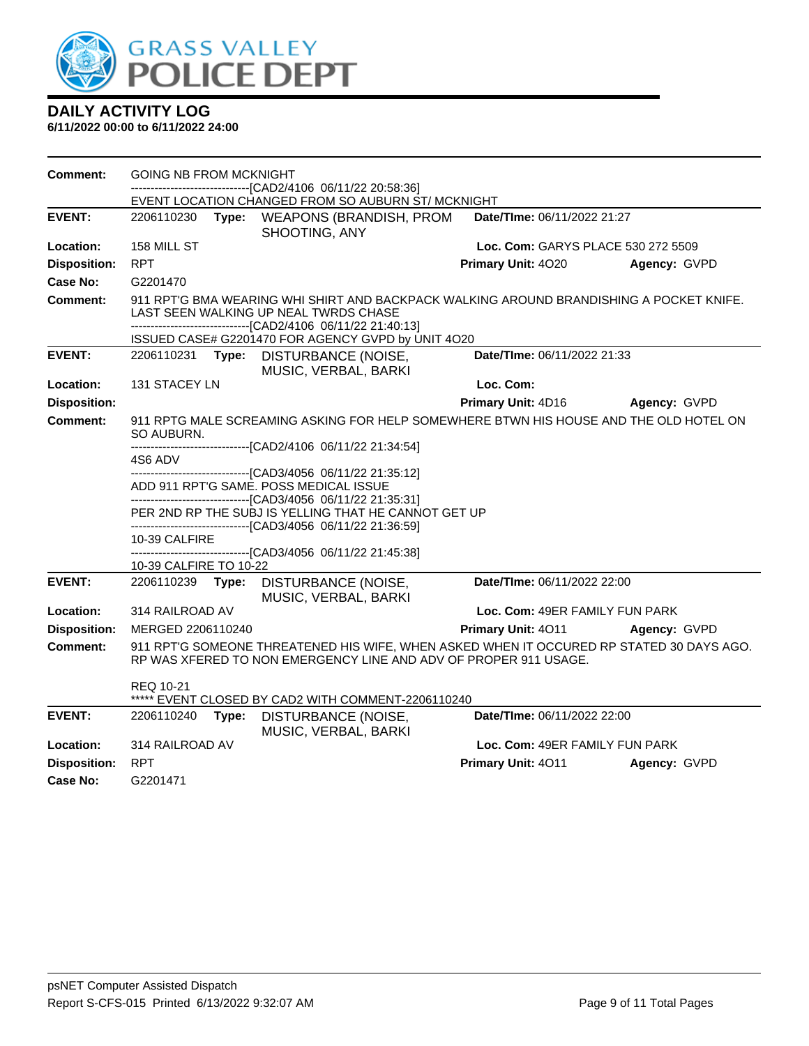

| <b>Comment:</b>     | <b>GOING NB FROM MCKNIGHT</b>                                                                       |       |                                                                                                                                                                                                    |                                    |              |
|---------------------|-----------------------------------------------------------------------------------------------------|-------|----------------------------------------------------------------------------------------------------------------------------------------------------------------------------------------------------|------------------------------------|--------------|
|                     |                                                                                                     |       | -------------------------[CAD2/4106_06/11/22 20:58:36]<br>EVENT LOCATION CHANGED FROM SO AUBURN ST/MCKNIGHT                                                                                        |                                    |              |
| <b>EVENT:</b>       | 2206110230                                                                                          | Type: | <b>WEAPONS (BRANDISH, PROM</b><br>SHOOTING, ANY                                                                                                                                                    | Date/TIme: 06/11/2022 21:27        |              |
| Location:           | 158 MILL ST                                                                                         |       |                                                                                                                                                                                                    | Loc. Com: GARYS PLACE 530 272 5509 |              |
| <b>Disposition:</b> | <b>RPT</b>                                                                                          |       |                                                                                                                                                                                                    | Primary Unit: 4020                 | Agency: GVPD |
| <b>Case No:</b>     | G2201470                                                                                            |       |                                                                                                                                                                                                    |                                    |              |
| <b>Comment:</b>     |                                                                                                     |       | 911 RPT'G BMA WEARING WHI SHIRT AND BACKPACK WALKING AROUND BRANDISHING A POCKET KNIFE.<br>LAST SEEN WALKING UP NEAL TWRDS CHASE<br>---------------------------------[CAD2/4106 06/11/22 21:40:13] |                                    |              |
|                     |                                                                                                     |       | ISSUED CASE# G2201470 FOR AGENCY GVPD by UNIT 4O20                                                                                                                                                 |                                    |              |
| <b>EVENT:</b>       | 2206110231 Type:                                                                                    |       | DISTURBANCE (NOISE,<br>MUSIC, VERBAL, BARKI                                                                                                                                                        | Date/TIme: 06/11/2022 21:33        |              |
| Location:           | 131 STACEY LN                                                                                       |       |                                                                                                                                                                                                    | Loc. Com:                          |              |
| <b>Disposition:</b> |                                                                                                     |       |                                                                                                                                                                                                    | Primary Unit: 4D16                 | Agency: GVPD |
| <b>Comment:</b>     | 911 RPTG MALE SCREAMING ASKING FOR HELP SOMEWHERE BTWN HIS HOUSE AND THE OLD HOTEL ON<br>SO AUBURN. |       |                                                                                                                                                                                                    |                                    |              |
|                     | ------------------------------[CAD2/4106 06/11/22 21:34:54]<br>4S6 ADV.                             |       |                                                                                                                                                                                                    |                                    |              |
|                     |                                                                                                     |       | --------------------------------[CAD3/4056 06/11/22 21:35:12]<br>ADD 911 RPT'G SAME. POSS MEDICAL ISSUE<br>---------------------------------[CAD3/4056 06/11/22 21:35:31]                          |                                    |              |
|                     |                                                                                                     |       | PER 2ND RP THE SUBJ IS YELLING THAT HE CANNOT GET UP<br>-------------------------------[CAD3/4056 06/11/22 21:36:59]                                                                               |                                    |              |
|                     | 10-39 CALFIRE                                                                                       |       |                                                                                                                                                                                                    |                                    |              |
|                     | 10-39 CALFIRE TO 10-22                                                                              |       | ----------------------[CAD3/4056 06/11/22 21:45:38]                                                                                                                                                |                                    |              |
| <b>EVENT:</b>       | 2206110239                                                                                          | Type: | <b>DISTURBANCE (NOISE,</b><br>MUSIC, VERBAL, BARKI                                                                                                                                                 | Date/TIme: 06/11/2022 22:00        |              |
| Location:           | 314 RAILROAD AV                                                                                     |       |                                                                                                                                                                                                    | Loc. Com: 49ER FAMILY FUN PARK     |              |
| <b>Disposition:</b> | MERGED 2206110240                                                                                   |       |                                                                                                                                                                                                    | <b>Primary Unit: 4011</b>          | Agency: GVPD |
| Comment:            |                                                                                                     |       | 911 RPT'G SOMEONE THREATENED HIS WIFE, WHEN ASKED WHEN IT OCCURED RP STATED 30 DAYS AGO.<br>RP WAS XFERED TO NON EMERGENCY LINE AND ADV OF PROPER 911 USAGE.                                       |                                    |              |
|                     | <b>REQ 10-21</b>                                                                                    |       | EVENT CLOSED BY CAD2 WITH COMMENT-2206110240                                                                                                                                                       |                                    |              |
| <b>EVENT:</b>       | 2206110240                                                                                          | Type: | DISTURBANCE (NOISE,<br>MUSIC, VERBAL, BARKI                                                                                                                                                        | Date/TIme: 06/11/2022 22:00        |              |
| Location:           | 314 RAILROAD AV                                                                                     |       |                                                                                                                                                                                                    | Loc. Com: 49ER FAMILY FUN PARK     |              |
| <b>Disposition:</b> | <b>RPT</b>                                                                                          |       |                                                                                                                                                                                                    | Primary Unit: 4011                 | Agency: GVPD |
| Case No:            | G2201471                                                                                            |       |                                                                                                                                                                                                    |                                    |              |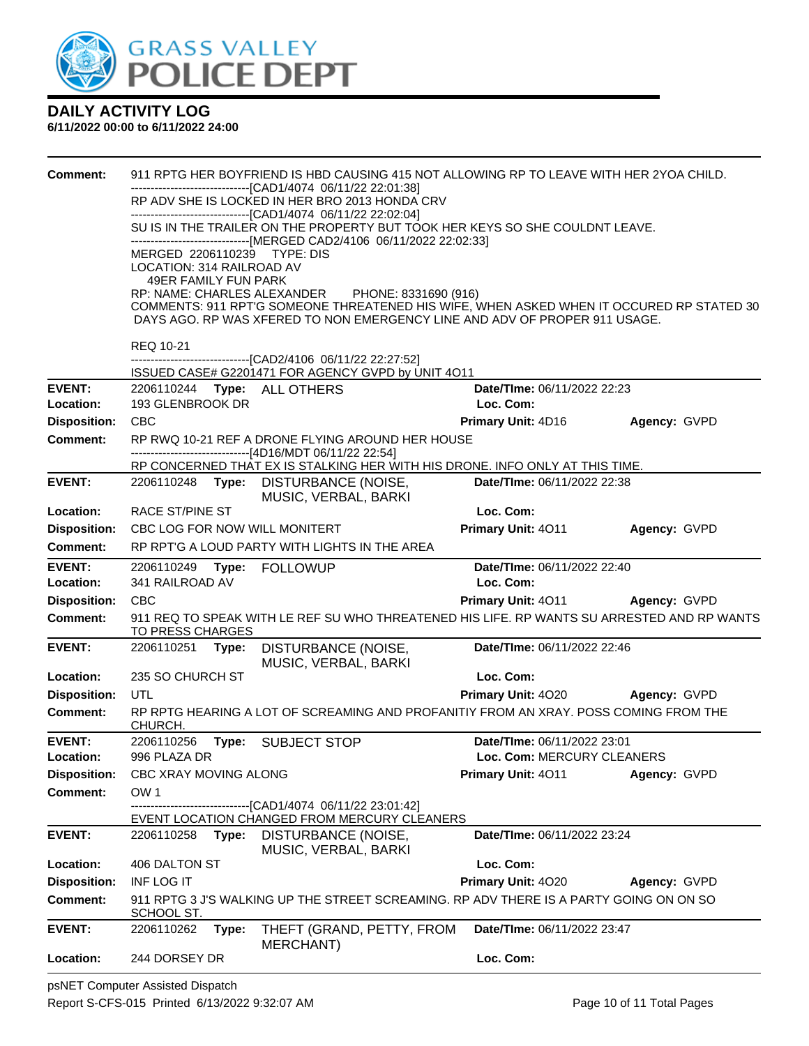

#### **6/11/2022 00:00 to 6/11/2022 24:00**

| <b>Comment:</b>                  |                                                 | 911 RPTG HER BOYFRIEND IS HBD CAUSING 415 NOT ALLOWING RP TO LEAVE WITH HER 2YOA CHILD.                                                     |                                                  |                     |
|----------------------------------|-------------------------------------------------|---------------------------------------------------------------------------------------------------------------------------------------------|--------------------------------------------------|---------------------|
|                                  |                                                 | ------------------------------[CAD1/4074_06/11/22_22:01:38]<br>RP ADV SHE IS LOCKED IN HER BRO 2013 HONDA CRV                               |                                                  |                     |
|                                  |                                                 | ------------------------------[CAD1/4074 06/11/22 22:02:04]<br>SU IS IN THE TRAILER ON THE PROPERTY BUT TOOK HER KEYS SO SHE COULDNT LEAVE. |                                                  |                     |
|                                  | MERGED 2206110239 TYPE: DIS                     | ------------------------------[MERGED CAD2/4106 06/11/2022 22:02:33]                                                                        |                                                  |                     |
|                                  | LOCATION: 314 RAILROAD AV                       |                                                                                                                                             |                                                  |                     |
|                                  | 49ER FAMILY FUN PARK                            | RP: NAME: CHARLES ALEXANDER PHONE: 8331690 (916)                                                                                            |                                                  |                     |
|                                  |                                                 | COMMENTS: 911 RPT'G SOMEONE THREATENED HIS WIFE, WHEN ASKED WHEN IT OCCURED RP STATED 30                                                    |                                                  |                     |
|                                  |                                                 | DAYS AGO. RP WAS XFERED TO NON EMERGENCY LINE AND ADV OF PROPER 911 USAGE.                                                                  |                                                  |                     |
|                                  | <b>REQ 10-21</b>                                | -------------------[CAD2/4106 06/11/22 22:27:52]                                                                                            |                                                  |                     |
|                                  |                                                 | ISSUED CASE# G2201471 FOR AGENCY GVPD by UNIT 4O11                                                                                          |                                                  |                     |
| <b>EVENT:</b><br>Location:       | 2206110244 Type: ALL OTHERS<br>193 GLENBROOK DR |                                                                                                                                             | Date/TIme: 06/11/2022 22:23<br>Loc. Com:         |                     |
| <b>Disposition:</b>              | <b>CBC</b>                                      |                                                                                                                                             | Primary Unit: 4D16                               | Agency: GVPD        |
| <b>Comment:</b>                  |                                                 | RP RWQ 10-21 REF A DRONE FLYING AROUND HER HOUSE                                                                                            |                                                  |                     |
|                                  |                                                 | ------------------------------[4D16/MDT 06/11/22 22:54]<br>RP CONCERNED THAT EX IS STALKING HER WITH HIS DRONE. INFO ONLY AT THIS TIME.     |                                                  |                     |
| <b>EVENT:</b>                    |                                                 | 2206110248 Type: DISTURBANCE (NOISE,                                                                                                        | Date/TIme: 06/11/2022 22:38                      |                     |
| Location:                        | <b>RACE ST/PINE ST</b>                          | MUSIC, VERBAL, BARKI                                                                                                                        | Loc. Com:                                        |                     |
| <b>Disposition:</b>              | CBC LOG FOR NOW WILL MONITERT                   |                                                                                                                                             | Primary Unit: 4011                               | Agency: GVPD        |
| <b>Comment:</b>                  |                                                 | RP RPT'G A LOUD PARTY WITH LIGHTS IN THE AREA                                                                                               |                                                  |                     |
| <b>EVENT:</b><br>Location:       | 341 RAILROAD AV                                 |                                                                                                                                             | Date/TIme: 06/11/2022 22:40<br>Loc. Com:         |                     |
| <b>Disposition:</b>              | <b>CBC</b>                                      |                                                                                                                                             | Primary Unit: 4011 Agency: GVPD                  |                     |
| <b>Comment:</b>                  | TO PRESS CHARGES                                | 911 REQ TO SPEAK WITH LE REF SU WHO THREATENED HIS LIFE. RP WANTS SU ARRESTED AND RP WANTS                                                  |                                                  |                     |
| <b>EVENT:</b>                    | 2206110251 Type:                                | DISTURBANCE (NOISE,<br>MUSIC, VERBAL, BARKI                                                                                                 | Date/TIme: 06/11/2022 22:46                      |                     |
| Location:                        | 235 SO CHURCH ST                                |                                                                                                                                             | Loc. Com:                                        |                     |
| <b>Disposition:</b>              | <b>UTL</b>                                      |                                                                                                                                             | Primary Unit: 4020                               | <b>Agency: GVPD</b> |
| Comment:                         | CHURCH.                                         | RP RPTG HEARING A LOT OF SCREAMING AND PROFANITIY FROM AN XRAY. POSS COMING FROM THE                                                        |                                                  |                     |
| <b>EVENT:</b>                    | 2206110256                                      | Type: SUBJECT STOP                                                                                                                          | Date/TIme: 06/11/2022 23:01                      |                     |
| Location:<br><b>Disposition:</b> | 996 PLAZA DR<br>CBC XRAY MOVING ALONG           |                                                                                                                                             | Loc. Com: MERCURY CLEANERS<br>Primary Unit: 4011 | Agency: GVPD        |
| <b>Comment:</b>                  | OW <sub>1</sub>                                 |                                                                                                                                             |                                                  |                     |
|                                  |                                                 | ------------------[CAD1/4074_06/11/22 23:01:42]                                                                                             |                                                  |                     |
| <b>EVENT:</b>                    | 2206110258                                      | EVENT LOCATION CHANGED FROM MERCURY CLEANERS<br>Type: DISTURBANCE (NOISE,                                                                   | Date/TIme: 06/11/2022 23:24                      |                     |
|                                  |                                                 | MUSIC, VERBAL, BARKI                                                                                                                        |                                                  |                     |
| Location:                        | 406 DALTON ST                                   |                                                                                                                                             | Loc. Com:                                        |                     |
| <b>Disposition:</b>              | <b>INF LOG IT</b>                               | 911 RPTG 3 J'S WALKING UP THE STREET SCREAMING. RP ADV THERE IS A PARTY GOING ON ON SO                                                      | Primary Unit: 4020                               | Agency: GVPD        |
| <b>Comment:</b>                  | SCHOOL ST.                                      |                                                                                                                                             |                                                  |                     |
| <b>EVENT:</b>                    | 2206110262<br>Type:                             | THEFT (GRAND, PETTY, FROM<br><b>MERCHANT)</b>                                                                                               | Date/TIme: 06/11/2022 23:47                      |                     |
| Location:                        | 244 DORSEY DR                                   |                                                                                                                                             | Loc. Com:                                        |                     |

psNET Computer Assisted Dispatch Report S-CFS-015 Printed 6/13/2022 9:32:07 AM Page 10 of 11 Total Pages